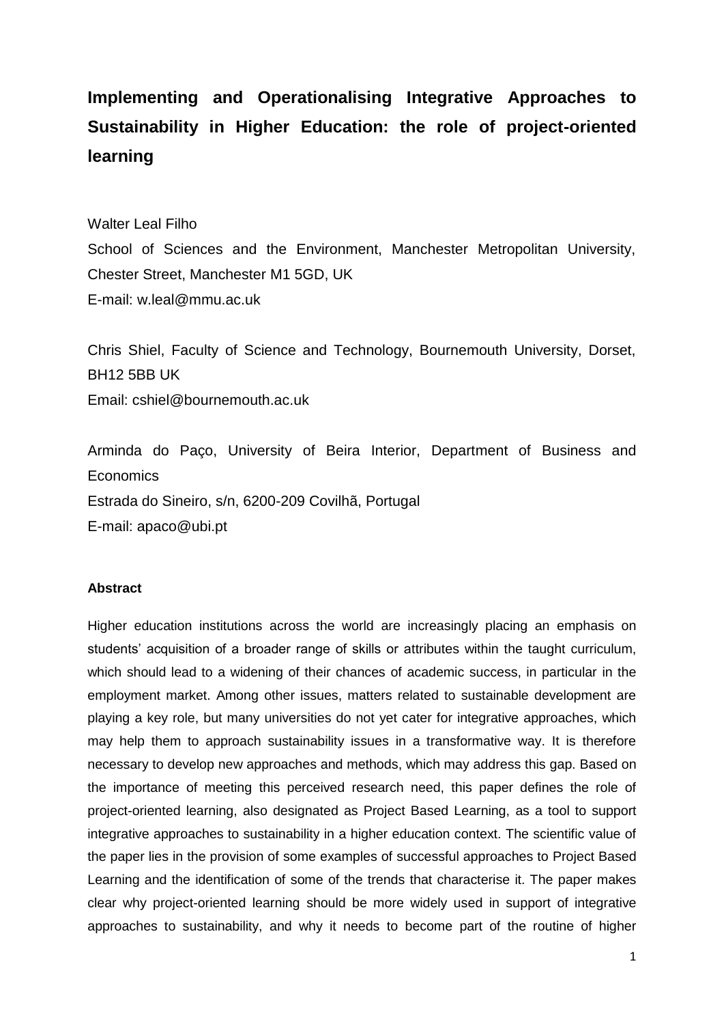# **Implementing and Operationalising Integrative Approaches to Sustainability in Higher Education: the role of project-oriented learning**

Walter Leal Filho

School of Sciences and the Environment, Manchester Metropolitan University, Chester Street, Manchester M1 5GD, UK E-mail: [w.leal@mmu.ac.uk](mailto:w.leal@mmu.ac.uk)

Chris Shiel, Faculty of Science and Technology, Bournemouth University, Dorset, BH12 5BB UK Email: cshiel@bournemouth.ac.uk

Arminda do Paço, University of Beira Interior, Department of Business and Economics Estrada do Sineiro, s/n, 6200-209 Covilhã, Portugal E-mail: apaco@ubi.pt

### **Abstract**

Higher education institutions across the world are increasingly placing an emphasis on students' acquisition of a broader range of skills or attributes within the taught curriculum, which should lead to a widening of their chances of academic success, in particular in the employment market. Among other issues, matters related to sustainable development are playing a key role, but many universities do not yet cater for integrative approaches, which may help them to approach sustainability issues in a transformative way. It is therefore necessary to develop new approaches and methods, which may address this gap. Based on the importance of meeting this perceived research need, this paper defines the role of project-oriented learning, also designated as Project Based Learning, as a tool to support integrative approaches to sustainability in a higher education context. The scientific value of the paper lies in the provision of some examples of successful approaches to Project Based Learning and the identification of some of the trends that characterise it. The paper makes clear why project-oriented learning should be more widely used in support of integrative approaches to sustainability, and why it needs to become part of the routine of higher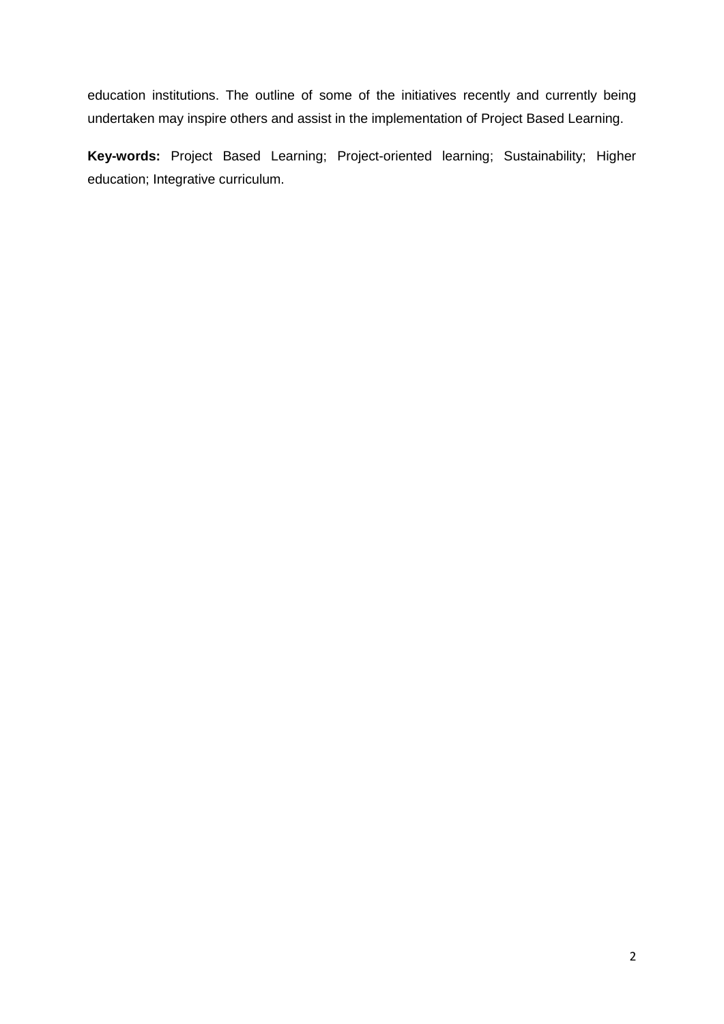education institutions. The outline of some of the initiatives recently and currently being undertaken may inspire others and assist in the implementation of Project Based Learning.

**Key-words:** Project Based Learning; Project-oriented learning; Sustainability; Higher education; Integrative curriculum.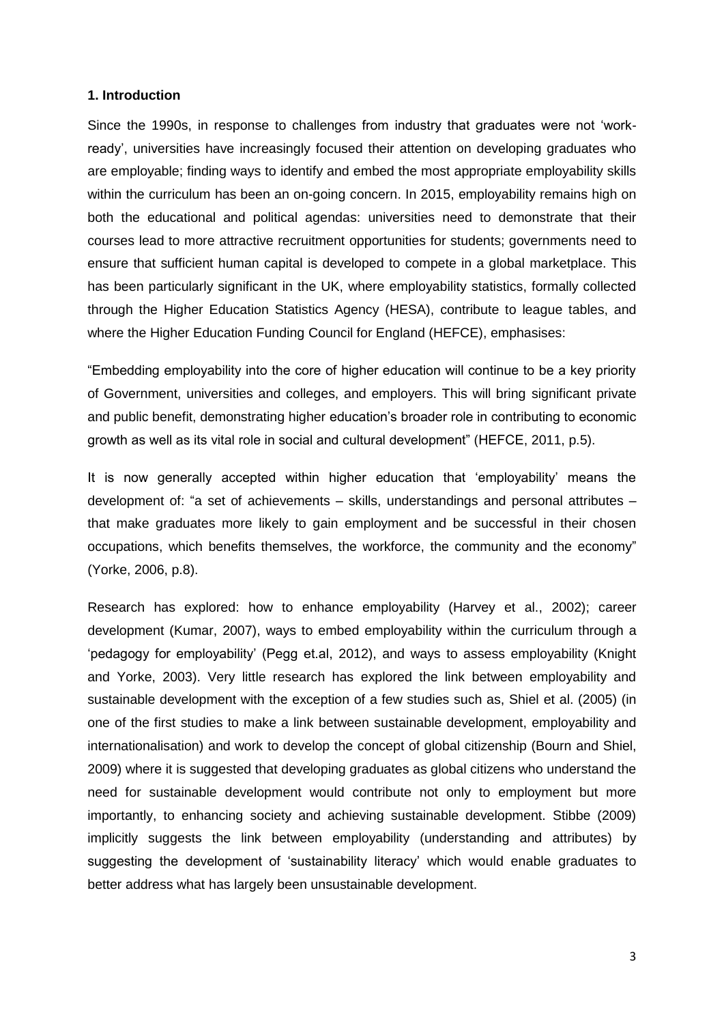#### **1. Introduction**

Since the 1990s, in response to challenges from industry that graduates were not 'workready', universities have increasingly focused their attention on developing graduates who are employable; finding ways to identify and embed the most appropriate employability skills within the curriculum has been an on-going concern. In 2015, employability remains high on both the educational and political agendas: universities need to demonstrate that their courses lead to more attractive recruitment opportunities for students; governments need to ensure that sufficient human capital is developed to compete in a global marketplace. This has been particularly significant in the UK, where employability statistics, formally collected through the Higher Education Statistics Agency (HESA), contribute to league tables, and where the Higher Education Funding Council for England (HEFCE), emphasises:

"Embedding employability into the core of higher education will continue to be a key priority of Government, universities and colleges, and employers. This will bring significant private and public benefit, demonstrating higher education's broader role in contributing to economic growth as well as its vital role in social and cultural development" (HEFCE, 2011, p.5).

It is now generally accepted within higher education that 'employability' means the development of: "a set of achievements – skills, understandings and personal attributes – that make graduates more likely to gain employment and be successful in their chosen occupations, which benefits themselves, the workforce, the community and the economy" (Yorke, 2006, p.8).

Research has explored: how to enhance employability (Harvey et al., 2002); career development (Kumar, 2007), ways to embed employability within the curriculum through a 'pedagogy for employability' (Pegg et.al, 2012), and ways to assess employability (Knight and Yorke, 2003). Very little research has explored the link between employability and sustainable development with the exception of a few studies such as, Shiel et al. (2005) (in one of the first studies to make a link between sustainable development, employability and internationalisation) and work to develop the concept of global citizenship (Bourn and Shiel, 2009) where it is suggested that developing graduates as global citizens who understand the need for sustainable development would contribute not only to employment but more importantly, to enhancing society and achieving sustainable development. Stibbe (2009) implicitly suggests the link between employability (understanding and attributes) by suggesting the development of 'sustainability literacy' which would enable graduates to better address what has largely been unsustainable development.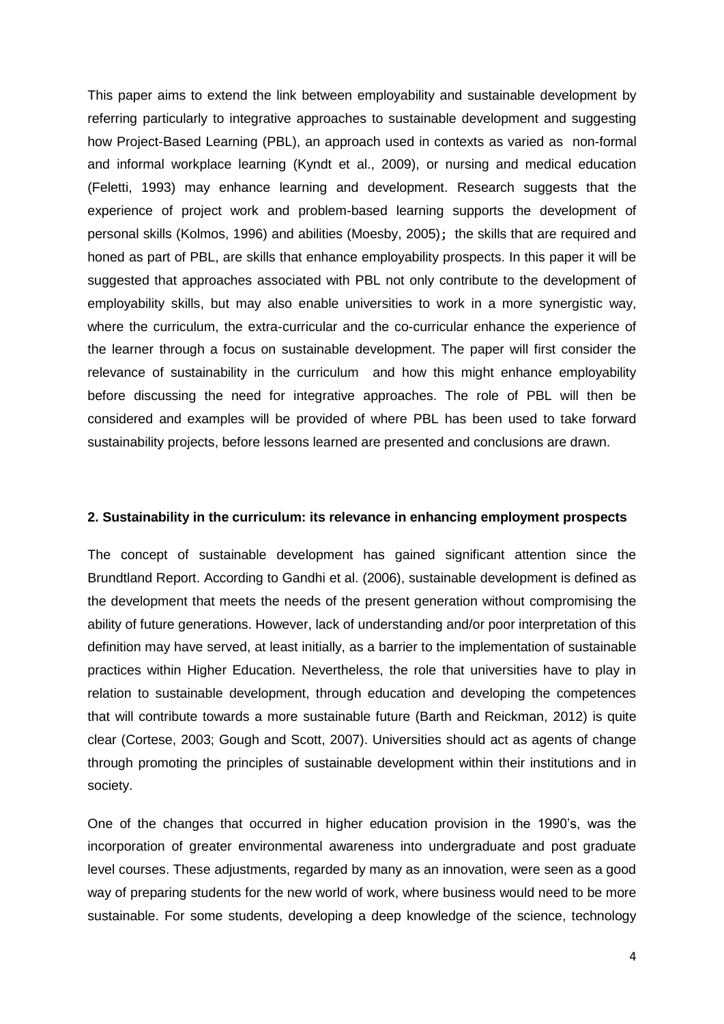This paper aims to extend the link between employability and sustainable development by referring particularly to integrative approaches to sustainable development and suggesting how Project-Based Learning (PBL), an approach used in contexts as varied as non-formal and informal workplace learning (Kyndt et al., 2009), or nursing and medical education (Feletti, 1993) may enhance learning and development. Research suggests that the experience of project work and problem-based learning supports the development of personal skills (Kolmos, 1996) and abilities (Moesby, 2005); the skills that are required and honed as part of PBL, are skills that enhance employability prospects. In this paper it will be suggested that approaches associated with PBL not only contribute to the development of employability skills, but may also enable universities to work in a more synergistic way, where the curriculum, the extra-curricular and the co-curricular enhance the experience of the learner through a focus on sustainable development. The paper will first consider the relevance of sustainability in the curriculum and how this might enhance employability before discussing the need for integrative approaches. The role of PBL will then be considered and examples will be provided of where PBL has been used to take forward sustainability projects, before lessons learned are presented and conclusions are drawn.

#### **2. Sustainability in the curriculum: its relevance in enhancing employment prospects**

The concept of sustainable development has gained significant attention since the Brundtland Report. According to Gandhi et al. (2006), sustainable development is defined as the development that meets the needs of the present generation without compromising the ability of future generations. However, lack of understanding and/or poor interpretation of this definition may have served, at least initially, as a barrier to the implementation of sustainable practices within Higher Education. Nevertheless, the role that universities have to play in relation to sustainable development, through education and developing the competences that will contribute towards a more sustainable future (Barth and Reickman, 2012) is quite clear (Cortese, 2003; Gough and Scott, 2007). Universities should act as agents of change through promoting the principles of sustainable development within their institutions and in society.

One of the changes that occurred in higher education provision in the 1990's, was the incorporation of greater environmental awareness into undergraduate and post graduate level courses. These adjustments, regarded by many as an innovation, were seen as a good way of preparing students for the new world of work, where business would need to be more sustainable. For some students, developing a deep knowledge of the science, technology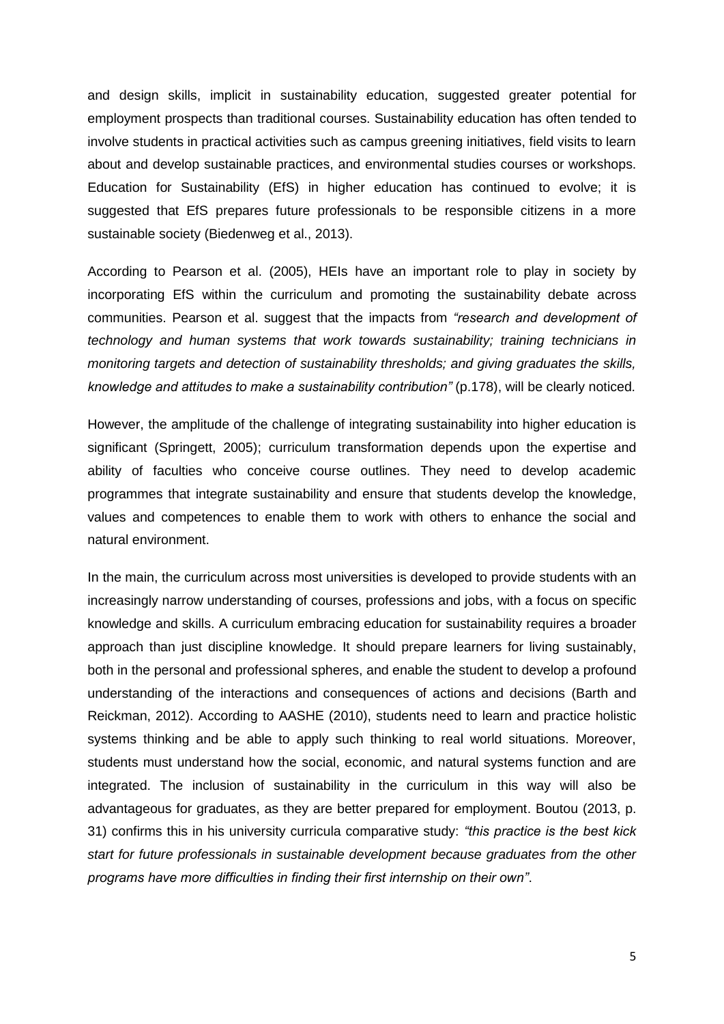and design skills, implicit in sustainability education, suggested greater potential for employment prospects than traditional courses. Sustainability education has often tended to involve students in practical activities such as campus greening initiatives, field visits to learn about and develop sustainable practices, and environmental studies courses or workshops. Education for Sustainability (EfS) in higher education has continued to evolve; it is suggested that EfS prepares future professionals to be responsible citizens in a more sustainable society (Biedenweg et al., 2013).

According to Pearson et al. (2005), HEIs have an important role to play in society by incorporating EfS within the curriculum and promoting the sustainability debate across communities. Pearson et al. suggest that the impacts from *"research and development of technology and human systems that work towards sustainability; training technicians in monitoring targets and detection of sustainability thresholds; and giving graduates the skills, knowledge and attitudes to make a sustainability contribution"* (p.178), will be clearly noticed.

However, the amplitude of the challenge of integrating sustainability into higher education is significant (Springett, 2005); curriculum transformation depends upon the expertise and ability of faculties who conceive course outlines. They need to develop academic programmes that integrate sustainability and ensure that students develop the knowledge, values and competences to enable them to work with others to enhance the social and natural environment.

In the main, the curriculum across most universities is developed to provide students with an increasingly narrow understanding of courses, professions and jobs, with a focus on specific knowledge and skills. A curriculum embracing education for sustainability requires a broader approach than just discipline knowledge. It should prepare learners for living sustainably, both in the personal and professional spheres, and enable the student to develop a profound understanding of the interactions and consequences of actions and decisions (Barth and Reickman, 2012). According to AASHE (2010), students need to learn and practice holistic systems thinking and be able to apply such thinking to real world situations. Moreover, students must understand how the social, economic, and natural systems function and are integrated. The inclusion of sustainability in the curriculum in this way will also be advantageous for graduates, as they are better prepared for employment. Boutou (2013, p. 31) confirms this in his university curricula comparative study: *"this practice is the best kick start for future professionals in sustainable development because graduates from the other programs have more difficulties in finding their first internship on their own"*.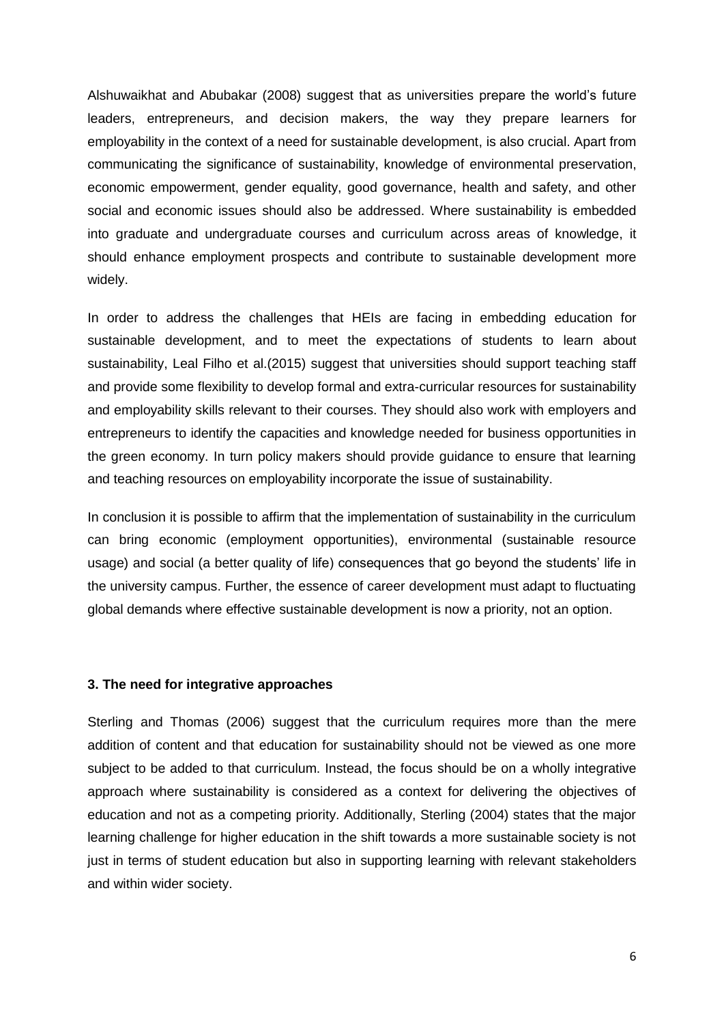Alshuwaikhat and Abubakar (2008) suggest that as universities prepare the world's future leaders, entrepreneurs, and decision makers, the way they prepare learners for employability in the context of a need for sustainable development, is also crucial. Apart from communicating the significance of sustainability, knowledge of environmental preservation, economic empowerment, gender equality, good governance, health and safety, and other social and economic issues should also be addressed. Where sustainability is embedded into graduate and undergraduate courses and curriculum across areas of knowledge, it should enhance employment prospects and contribute to sustainable development more widely.

In order to address the challenges that HEIs are facing in embedding education for sustainable development, and to meet the expectations of students to learn about sustainability, Leal Filho et al.(2015) suggest that universities should support teaching staff and provide some flexibility to develop formal and extra-curricular resources for sustainability and employability skills relevant to their courses. They should also work with employers and entrepreneurs to identify the capacities and knowledge needed for business opportunities in the green economy. In turn policy makers should provide guidance to ensure that learning and teaching resources on employability incorporate the issue of sustainability.

In conclusion it is possible to affirm that the implementation of sustainability in the curriculum can bring economic (employment opportunities), environmental (sustainable resource usage) and social (a better quality of life) consequences that go beyond the students' life in the university campus. Further, the essence of career development must adapt to fluctuating global demands where effective sustainable development is now a priority, not an option.

#### **3. The need for integrative approaches**

Sterling and Thomas (2006) suggest that the curriculum requires more than the mere addition of content and that education for sustainability should not be viewed as one more subject to be added to that curriculum. Instead, the focus should be on a wholly integrative approach where sustainability is considered as a context for delivering the objectives of education and not as a competing priority. Additionally, Sterling (2004) states that the major learning challenge for higher education in the shift towards a more sustainable society is not just in terms of student education but also in supporting learning with relevant stakeholders and within wider society.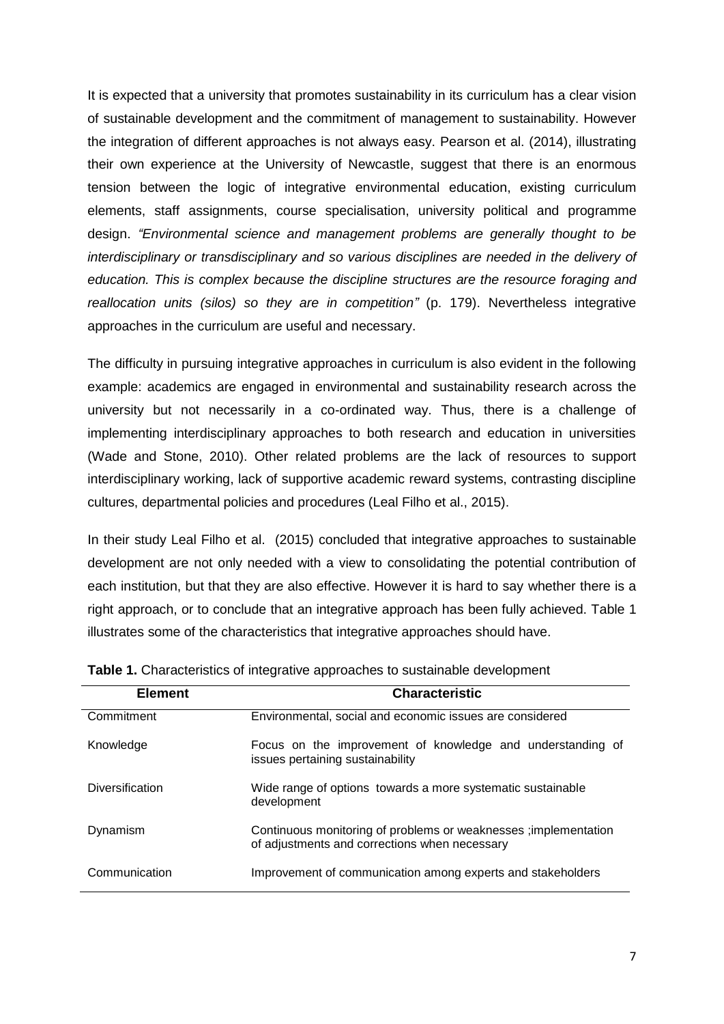It is expected that a university that promotes sustainability in its curriculum has a clear vision of sustainable development and the commitment of management to sustainability. However the integration of different approaches is not always easy. Pearson et al. (2014), illustrating their own experience at the University of Newcastle, suggest that there is an enormous tension between the logic of integrative environmental education, existing curriculum elements, staff assignments, course specialisation, university political and programme design. *"Environmental science and management problems are generally thought to be interdisciplinary or transdisciplinary and so various disciplines are needed in the delivery of education. This is complex because the discipline structures are the resource foraging and reallocation units (silos) so they are in competition"* (p. 179). Nevertheless integrative approaches in the curriculum are useful and necessary.

The difficulty in pursuing integrative approaches in curriculum is also evident in the following example: academics are engaged in environmental and sustainability research across the university but not necessarily in a co-ordinated way. Thus, there is a challenge of implementing interdisciplinary approaches to both research and education in universities (Wade and Stone, 2010). Other related problems are the lack of resources to support interdisciplinary working, lack of supportive academic reward systems, contrasting discipline cultures, departmental policies and procedures (Leal Filho et al., 2015).

In their study Leal Filho et al. (2015) concluded that integrative approaches to sustainable development are not only needed with a view to consolidating the potential contribution of each institution, but that they are also effective. However it is hard to say whether there is a right approach, or to conclude that an integrative approach has been fully achieved. Table 1 illustrates some of the characteristics that integrative approaches should have.

| <b>Element</b>  | <b>Characteristic</b>                                                                                             |
|-----------------|-------------------------------------------------------------------------------------------------------------------|
| Commitment      | Environmental, social and economic issues are considered                                                          |
| Knowledge       | Focus on the improvement of knowledge and understanding of<br>issues pertaining sustainability                    |
| Diversification | Wide range of options towards a more systematic sustainable<br>development                                        |
| Dynamism        | Continuous monitoring of problems or weaknesses ; implementation<br>of adjustments and corrections when necessary |
| Communication   | Improvement of communication among experts and stakeholders                                                       |

**Table 1.** Characteristics of integrative approaches to sustainable development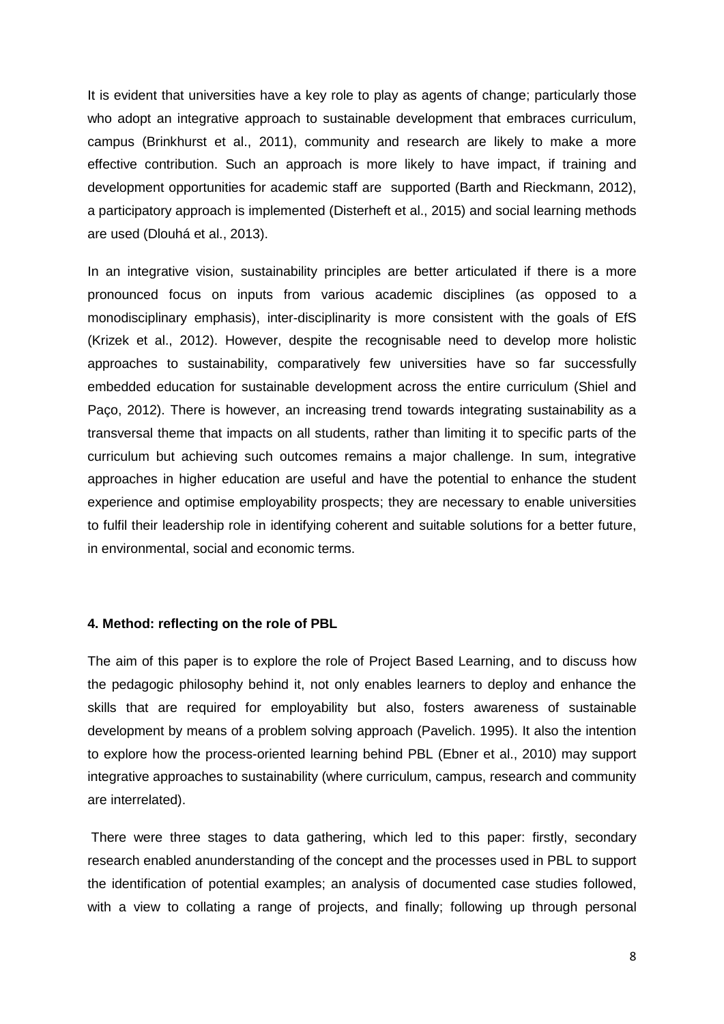It is evident that universities have a key role to play as agents of change; particularly those who adopt an integrative approach to sustainable development that embraces curriculum, campus (Brinkhurst et al., 2011), community and research are likely to make a more effective contribution. Such an approach is more likely to have impact, if training and development opportunities for academic staff are supported (Barth and Rieckmann, 2012), a participatory approach is implemented (Disterheft et al., 2015) and social learning methods are used (Dlouhá et al., 2013).

In an integrative vision, sustainability principles are better articulated if there is a more pronounced focus on inputs from various academic disciplines (as opposed to a monodisciplinary emphasis), inter-disciplinarity is more consistent with the goals of EfS (Krizek et al., 2012). However, despite the recognisable need to develop more holistic approaches to sustainability, comparatively few universities have so far successfully embedded education for sustainable development across the entire curriculum (Shiel and Paço, 2012). There is however, an increasing trend towards integrating sustainability as a transversal theme that impacts on all students, rather than limiting it to specific parts of the curriculum but achieving such outcomes remains a major challenge. In sum, integrative approaches in higher education are useful and have the potential to enhance the student experience and optimise employability prospects; they are necessary to enable universities to fulfil their leadership role in identifying coherent and suitable solutions for a better future, in environmental, social and economic terms.

#### **4. Method: reflecting on the role of PBL**

The aim of this paper is to explore the role of Project Based Learning, and to discuss how the pedagogic philosophy behind it, not only enables learners to deploy and enhance the skills that are required for employability but also, fosters awareness of sustainable development by means of a problem solving approach (Pavelich. 1995). It also the intention to explore how the process-oriented learning behind PBL (Ebner et al., 2010) may support integrative approaches to sustainability (where curriculum, campus, research and community are interrelated).

There were three stages to data gathering, which led to this paper: firstly, secondary research enabled anunderstanding of the concept and the processes used in PBL to support the identification of potential examples; an analysis of documented case studies followed, with a view to collating a range of projects, and finally; following up through personal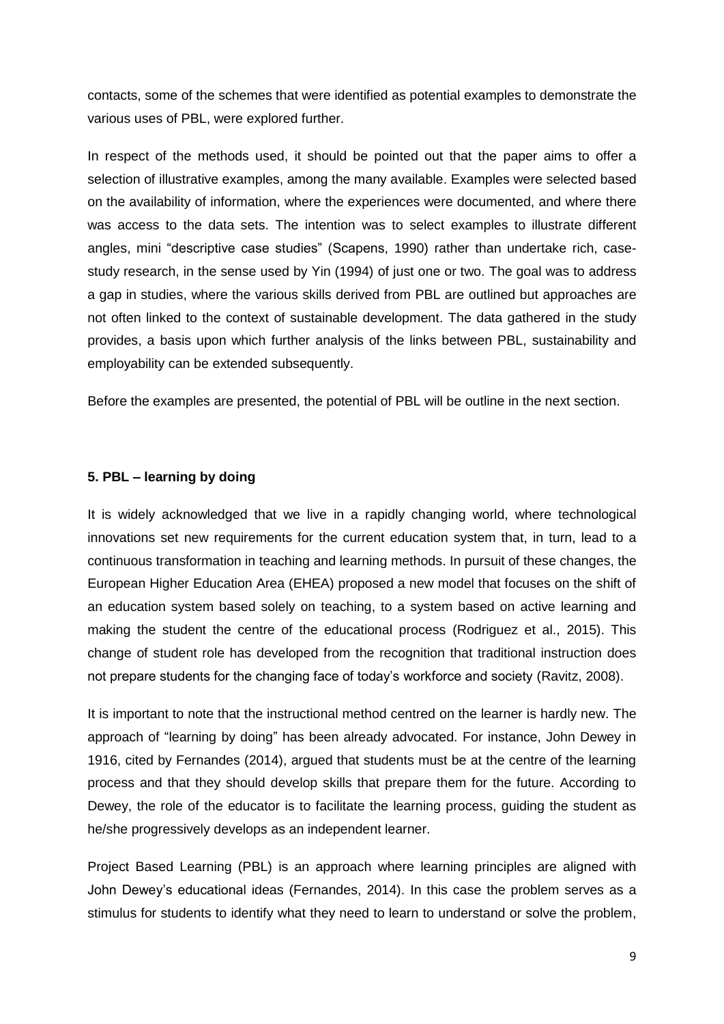contacts, some of the schemes that were identified as potential examples to demonstrate the various uses of PBL, were explored further.

In respect of the methods used, it should be pointed out that the paper aims to offer a selection of illustrative examples, among the many available. Examples were selected based on the availability of information, where the experiences were documented, and where there was access to the data sets. The intention was to select examples to illustrate different angles, mini "descriptive case studies" (Scapens, 1990) rather than undertake rich, casestudy research, in the sense used by Yin (1994) of just one or two. The goal was to address a gap in studies, where the various skills derived from PBL are outlined but approaches are not often linked to the context of sustainable development. The data gathered in the study provides, a basis upon which further analysis of the links between PBL, sustainability and employability can be extended subsequently.

Before the examples are presented, the potential of PBL will be outline in the next section.

#### **5. PBL – learning by doing**

It is widely acknowledged that we live in a rapidly changing world, where technological innovations set new requirements for the current education system that, in turn, lead to a continuous transformation in teaching and learning methods. In pursuit of these changes, the European Higher Education Area (EHEA) proposed a new model that focuses on the shift of an education system based solely on teaching, to a system based on active learning and making the student the centre of the educational process (Rodriguez et al., 2015). This change of student role has developed from the recognition that traditional instruction does not prepare students for the changing face of today's workforce and society (Ravitz, 2008).

It is important to note that the instructional method centred on the learner is hardly new. The approach of "learning by doing" has been already advocated. For instance, John Dewey in 1916, cited by Fernandes (2014), argued that students must be at the centre of the learning process and that they should develop skills that prepare them for the future. According to Dewey, the role of the educator is to facilitate the learning process, guiding the student as he/she progressively develops as an independent learner.

Project Based Learning (PBL) is an approach where learning principles are aligned with John Dewey's educational ideas (Fernandes, 2014). In this case the problem serves as a stimulus for students to identify what they need to learn to understand or solve the problem,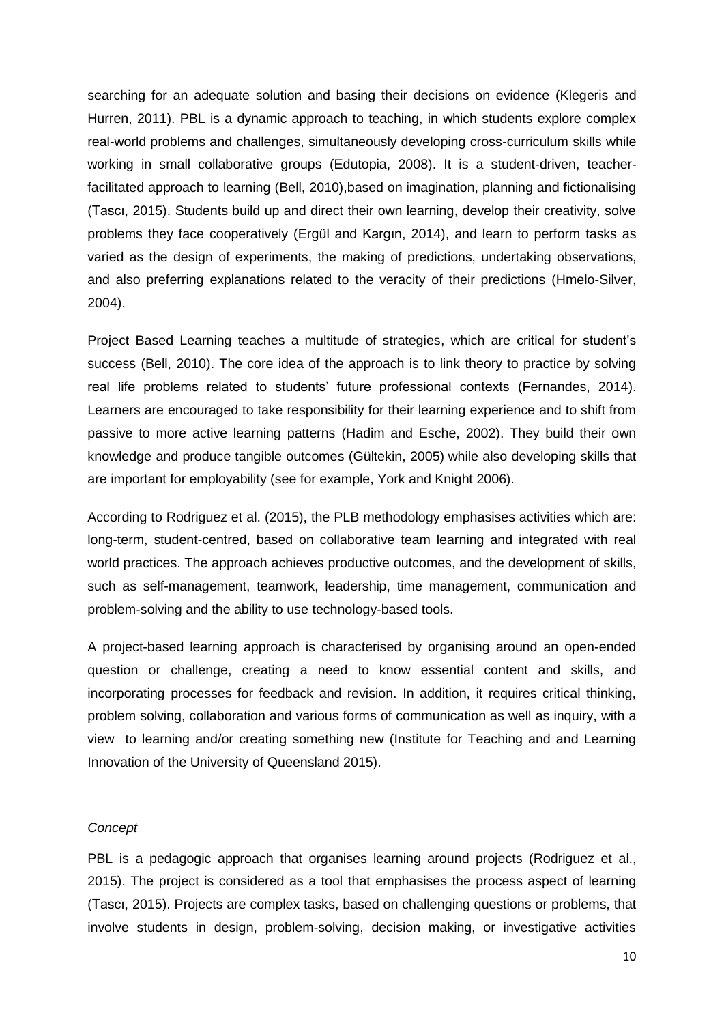searching for an adequate solution and basing their decisions on evidence (Klegeris and Hurren, 2011). PBL is a dynamic approach to teaching, in which students explore complex real-world problems and challenges, simultaneously developing cross-curriculum skills while working in small collaborative groups (Edutopia, 2008). It is a student-driven, teacherfacilitated approach to learning (Bell, 2010),based on imagination, planning and fictionalising (Tascı, 2015). Students build up and direct their own learning, develop their creativity, solve problems they face cooperatively (Ergül and Kargın, 2014), and learn to perform tasks as varied as the design of experiments, the making of predictions, undertaking observations, and also preferring explanations related to the veracity of their predictions (Hmelo-Silver, 2004).

Project Based Learning teaches a multitude of strategies, which are critical for student's success (Bell, 2010). The core idea of the approach is to link theory to practice by solving real life problems related to students' future professional contexts (Fernandes, 2014). Learners are encouraged to take responsibility for their learning experience and to shift from passive to more active learning patterns (Hadim and Esche, 2002). They build their own knowledge and produce tangible outcomes (Gültekin, 2005) while also developing skills that are important for employability (see for example, York and Knight 2006).

According to Rodriguez et al. (2015), the PLB methodology emphasises activities which are: long-term, student-centred, based on collaborative team learning and integrated with real world practices. The approach achieves productive outcomes, and the development of skills, such as self-management, teamwork, leadership, time management, communication and problem-solving and the ability to use technology-based tools.

A project-based learning approach is characterised by organising around an open-ended question or challenge, creating a need to know essential content and skills, and incorporating processes for feedback and revision. In addition, it requires critical thinking, problem solving, collaboration and various forms of communication as well as inquiry, with a view to learning and/or creating something new (Institute for Teaching and and Learning Innovation of the University of Queensland 2015).

#### *Concept*

PBL is a pedagogic approach that organises learning around projects (Rodriguez et al., 2015). The project is considered as a tool that emphasises the process aspect of learning (Tascı, 2015). Projects are complex tasks, based on challenging questions or problems, that involve students in design, problem-solving, decision making, or investigative activities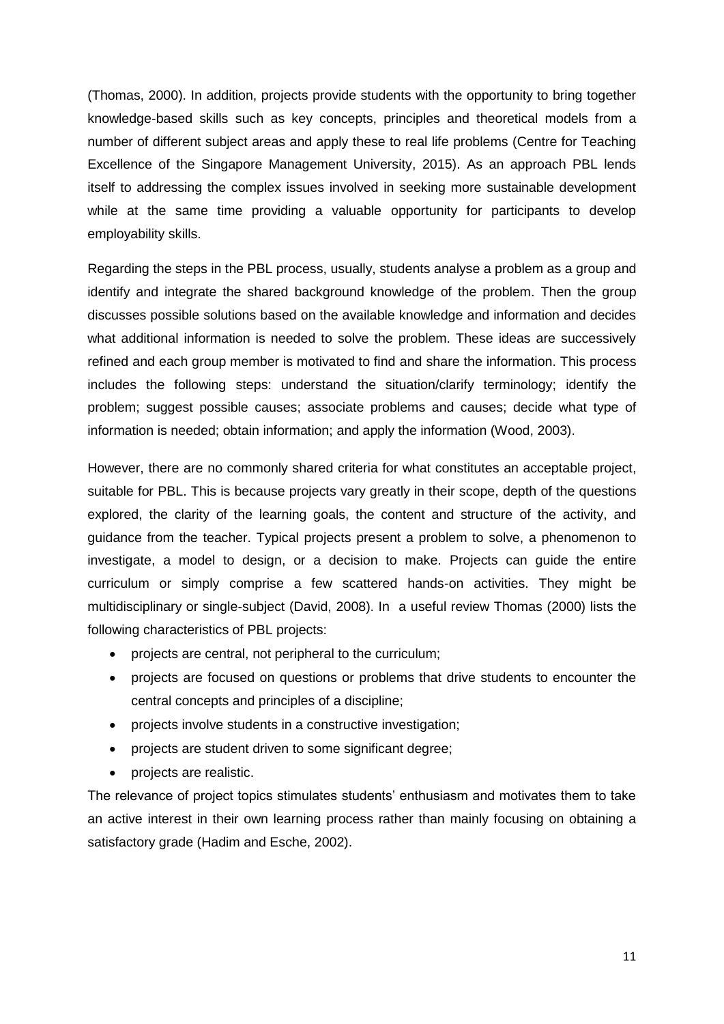(Thomas, 2000). In addition, projects provide students with the opportunity to bring together knowledge-based skills such as key concepts, principles and theoretical models from a number of different subject areas and apply these to real life problems (Centre for Teaching Excellence of the Singapore Management University, 2015). As an approach PBL lends itself to addressing the complex issues involved in seeking more sustainable development while at the same time providing a valuable opportunity for participants to develop employability skills.

Regarding the steps in the PBL process, usually, students analyse a problem as a group and identify and integrate the shared background knowledge of the problem. Then the group discusses possible solutions based on the available knowledge and information and decides what additional information is needed to solve the problem. These ideas are successively refined and each group member is motivated to find and share the information. This process includes the following steps: understand the situation/clarify terminology; identify the problem; suggest possible causes; associate problems and causes; decide what type of information is needed; obtain information; and apply the information (Wood, 2003).

However, there are no commonly shared criteria for what constitutes an acceptable project, suitable for PBL. This is because projects vary greatly in their scope, depth of the questions explored, the clarity of the learning goals, the content and structure of the activity, and guidance from the teacher. Typical projects present a problem to solve, a phenomenon to investigate, a model to design, or a decision to make. Projects can guide the entire curriculum or simply comprise a few scattered hands-on activities. They might be multidisciplinary or single-subject (David, 2008). In a useful review Thomas (2000) lists the following characteristics of PBL projects:

- projects are central, not peripheral to the curriculum;
- projects are focused on questions or problems that drive students to encounter the central concepts and principles of a discipline;
- projects involve students in a constructive investigation;
- projects are student driven to some significant degree;
- projects are realistic.

The relevance of project topics stimulates students' enthusiasm and motivates them to take an active interest in their own learning process rather than mainly focusing on obtaining a satisfactory grade (Hadim and Esche, 2002).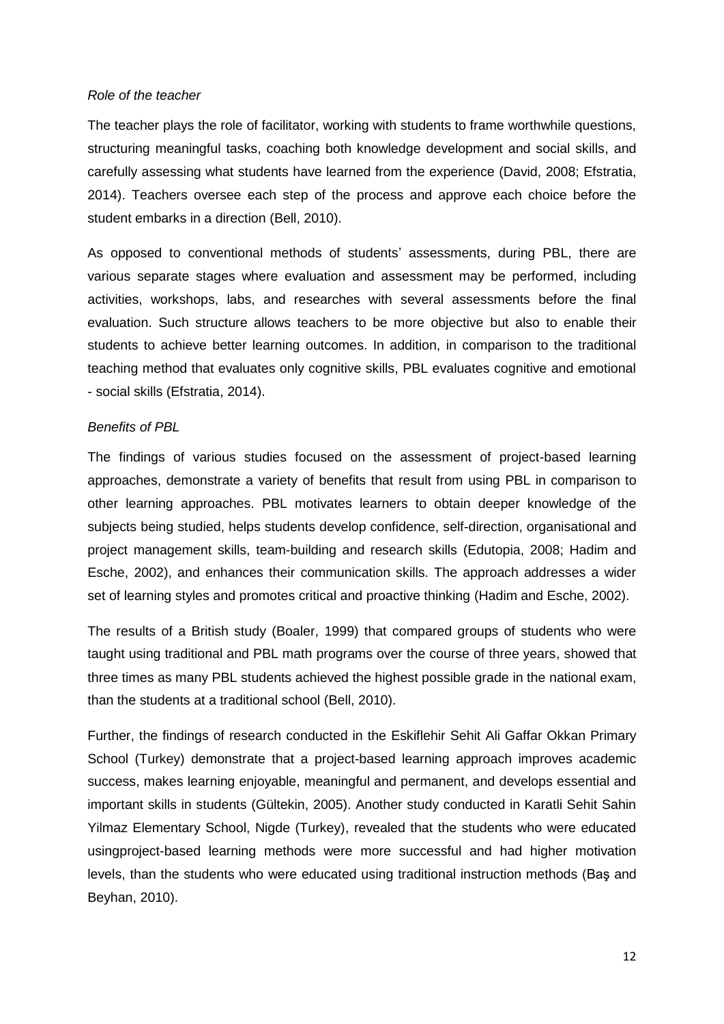#### *Role of the teacher*

The teacher plays the role of facilitator, working with students to frame worthwhile questions, structuring meaningful tasks, coaching both knowledge development and social skills, and carefully assessing what students have learned from the experience (David, 2008; Efstratia, 2014). Teachers oversee each step of the process and approve each choice before the student embarks in a direction (Bell, 2010).

As opposed to conventional methods of students' assessments, during PBL, there are various separate stages where evaluation and assessment may be performed, including activities, workshops, labs, and researches with several assessments before the final evaluation. Such structure allows teachers to be more objective but also to enable their students to achieve better learning outcomes. In addition, in comparison to the traditional teaching method that evaluates only cognitive skills, PBL evaluates cognitive and emotional - social skills (Efstratia, 2014).

#### *Benefits of PBL*

The findings of various studies focused on the assessment of project-based learning approaches, demonstrate a variety of benefits that result from using PBL in comparison to other learning approaches. PBL motivates learners to obtain deeper knowledge of the subjects being studied, helps students develop confidence, self-direction, organisational and project management skills, team-building and research skills (Edutopia, 2008; Hadim and Esche, 2002), and enhances their communication skills. The approach addresses a wider set of learning styles and promotes critical and proactive thinking (Hadim and Esche, 2002).

The results of a British study (Boaler, 1999) that compared groups of students who were taught using traditional and PBL math programs over the course of three years, showed that three times as many PBL students achieved the highest possible grade in the national exam, than the students at a traditional school (Bell, 2010).

Further, the findings of research conducted in the Eskiflehir Sehit Ali Gaffar Okkan Primary School (Turkey) demonstrate that a project-based learning approach improves academic success, makes learning enjoyable, meaningful and permanent, and develops essential and important skills in students (Gültekin, 2005). Another study conducted in Karatli Sehit Sahin Yilmaz Elementary School, Nigde (Turkey), revealed that the students who were educated usingproject-based learning methods were more successful and had higher motivation levels, than the students who were educated using traditional instruction methods (Baş and Beyhan, 2010).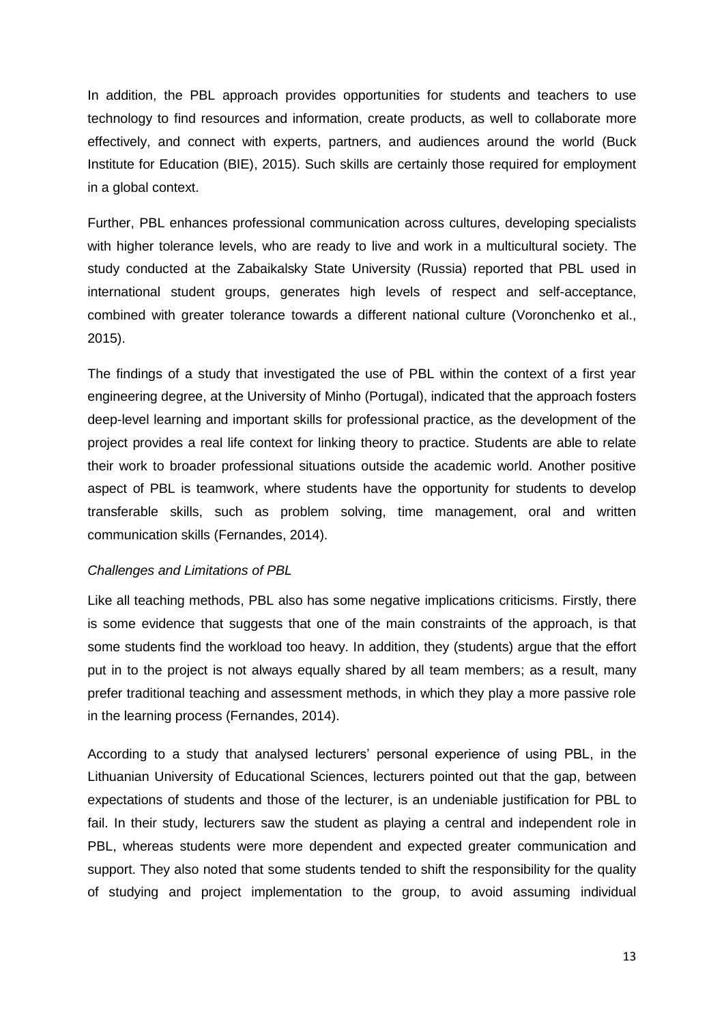In addition, the PBL approach provides opportunities for students and teachers to use technology to find resources and information, create products, as well to collaborate more effectively, and connect with experts, partners, and audiences around the world (Buck Institute for Education (BIE), 2015). Such skills are certainly those required for employment in a global context.

Further, PBL enhances professional communication across cultures, developing specialists with higher tolerance levels, who are ready to live and work in a multicultural society. The study conducted at the Zabaikalsky State University (Russia) reported that PBL used in international student groups, generates high levels of respect and self-acceptance, combined with greater tolerance towards a different national culture (Voronchenko et al., 2015).

The findings of a study that investigated the use of PBL within the context of a first year engineering degree, at the University of Minho (Portugal), indicated that the approach fosters deep-level learning and important skills for professional practice, as the development of the project provides a real life context for linking theory to practice. Students are able to relate their work to broader professional situations outside the academic world. Another positive aspect of PBL is teamwork, where students have the opportunity for students to develop transferable skills, such as problem solving, time management, oral and written communication skills (Fernandes, 2014).

#### *Challenges and Limitations of PBL*

Like all teaching methods, PBL also has some negative implications criticisms. Firstly, there is some evidence that suggests that one of the main constraints of the approach, is that some students find the workload too heavy. In addition, they (students) argue that the effort put in to the project is not always equally shared by all team members; as a result, many prefer traditional teaching and assessment methods, in which they play a more passive role in the learning process (Fernandes, 2014).

According to a study that analysed lecturers' personal experience of using PBL, in the Lithuanian University of Educational Sciences, lecturers pointed out that the gap, between expectations of students and those of the lecturer, is an undeniable justification for PBL to fail. In their study, lecturers saw the student as playing a central and independent role in PBL, whereas students were more dependent and expected greater communication and support. They also noted that some students tended to shift the responsibility for the quality of studying and project implementation to the group, to avoid assuming individual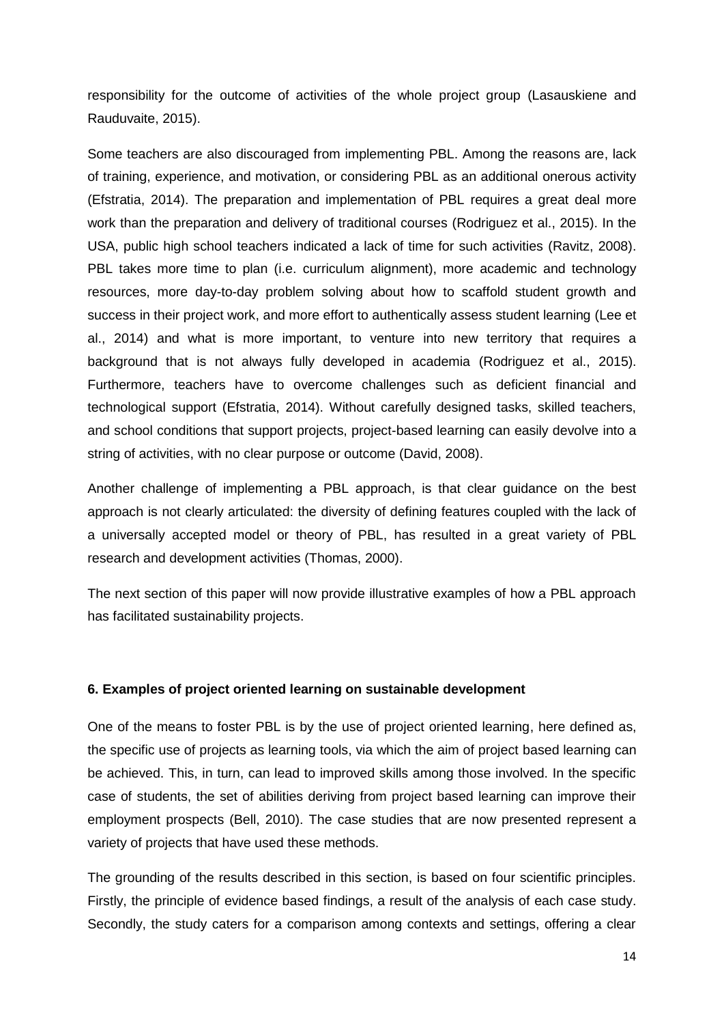responsibility for the outcome of activities of the whole project group (Lasauskiene and Rauduvaite, 2015).

Some teachers are also discouraged from implementing PBL. Among the reasons are, lack of training, experience, and motivation, or considering PBL as an additional onerous activity (Efstratia, 2014). The preparation and implementation of PBL requires a great deal more work than the preparation and delivery of traditional courses (Rodriguez et al., 2015). In the USA, public high school teachers indicated a lack of time for such activities (Ravitz, 2008). PBL takes more time to plan (i.e. curriculum alignment), more academic and technology resources, more day-to-day problem solving about how to scaffold student growth and success in their project work, and more effort to authentically assess student learning (Lee et al., 2014) and what is more important, to venture into new territory that requires a background that is not always fully developed in academia (Rodriguez et al., 2015). Furthermore, teachers have to overcome challenges such as deficient financial and technological support (Efstratia, 2014). Without carefully designed tasks, skilled teachers, and school conditions that support projects, project-based learning can easily devolve into a string of activities, with no clear purpose or outcome (David, 2008).

Another challenge of implementing a PBL approach, is that clear guidance on the best approach is not clearly articulated: the diversity of defining features coupled with the lack of a universally accepted model or theory of PBL, has resulted in a great variety of PBL research and development activities (Thomas, 2000).

The next section of this paper will now provide illustrative examples of how a PBL approach has facilitated sustainability projects.

#### **6. Examples of project oriented learning on sustainable development**

One of the means to foster PBL is by the use of project oriented learning, here defined as, the specific use of projects as learning tools, via which the aim of project based learning can be achieved. This, in turn, can lead to improved skills among those involved. In the specific case of students, the set of abilities deriving from project based learning can improve their employment prospects (Bell, 2010). The case studies that are now presented represent a variety of projects that have used these methods.

The grounding of the results described in this section, is based on four scientific principles. Firstly, the principle of evidence based findings, a result of the analysis of each case study. Secondly, the study caters for a comparison among contexts and settings, offering a clear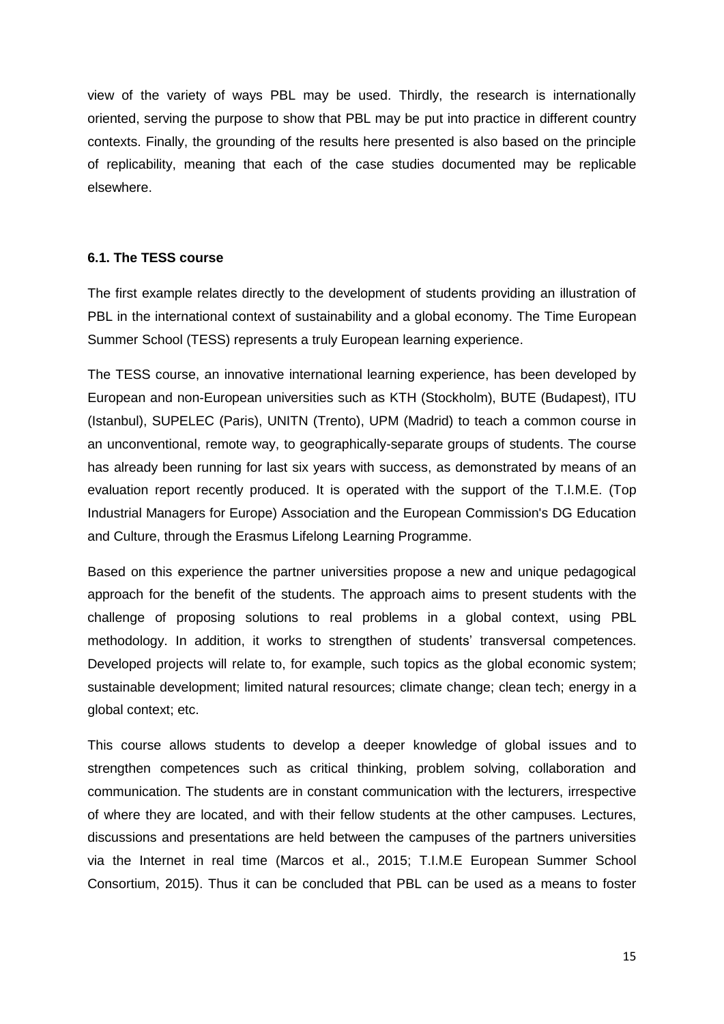view of the variety of ways PBL may be used. Thirdly, the research is internationally oriented, serving the purpose to show that PBL may be put into practice in different country contexts. Finally, the grounding of the results here presented is also based on the principle of replicability, meaning that each of the case studies documented may be replicable elsewhere.

#### **6.1. The TESS course**

The first example relates directly to the development of students providing an illustration of PBL in the international context of sustainability and a global economy. The Time European Summer School (TESS) represents a truly European learning experience.

The TESS course, an innovative international learning experience, has been developed by European and non-European universities such as KTH (Stockholm), BUTE (Budapest), ITU (Istanbul), SUPELEC (Paris), UNITN (Trento), UPM (Madrid) to teach a common course in an unconventional, remote way, to geographically-separate groups of students. The course has already been running for last six years with success, as demonstrated by means of an evaluation report recently produced. It is operated with the support of the T.I.M.E. (Top Industrial Managers for Europe) Association and the European Commission's DG Education and Culture, through the Erasmus Lifelong Learning Programme.

Based on this experience the partner universities propose a new and unique pedagogical approach for the benefit of the students. The approach aims to present students with the challenge of proposing solutions to real problems in a global context, using PBL methodology. In addition, it works to strengthen of students' transversal competences. Developed projects will relate to, for example, such topics as the global economic system; sustainable development; limited natural resources; climate change; clean tech; energy in a global context; etc.

This course allows students to develop a deeper knowledge of global issues and to strengthen competences such as critical thinking, problem solving, collaboration and communication. The students are in constant communication with the lecturers, irrespective of where they are located, and with their fellow students at the other campuses. Lectures, discussions and presentations are held between the campuses of the partners universities via the Internet in real time (Marcos et al., 2015; T.I.M.E European Summer School Consortium, 2015). Thus it can be concluded that PBL can be used as a means to foster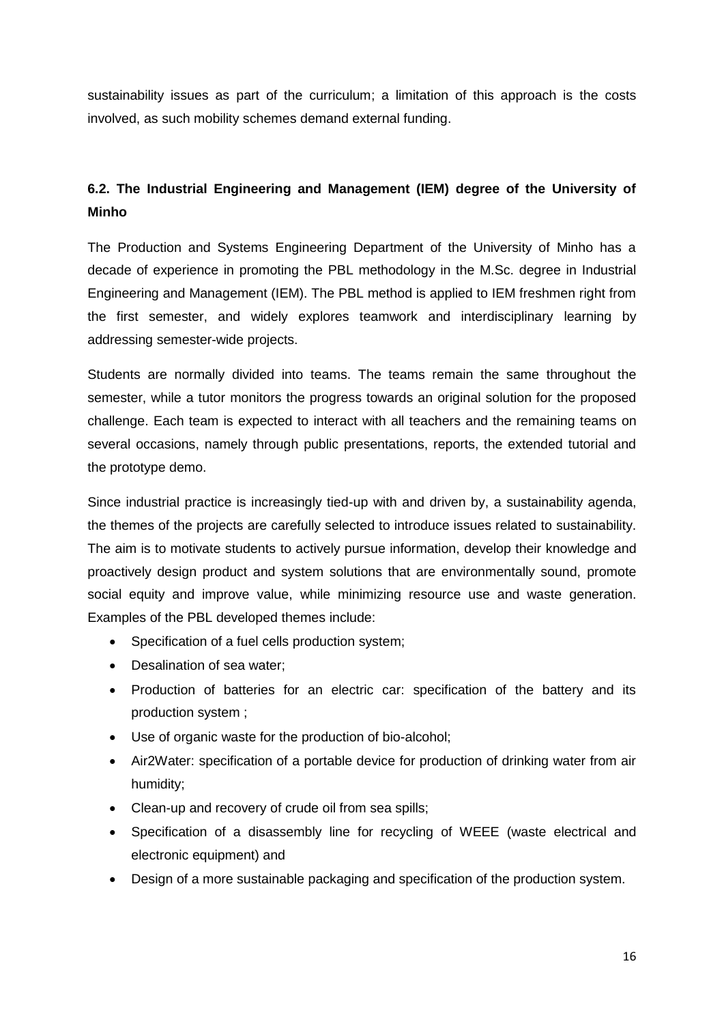sustainability issues as part of the curriculum; a limitation of this approach is the costs involved, as such mobility schemes demand external funding.

# **6.2. The Industrial Engineering and Management (IEM) degree of the University of Minho**

The Production and Systems Engineering Department of the University of Minho has a decade of experience in promoting the PBL methodology in the M.Sc. degree in Industrial Engineering and Management (IEM). The PBL method is applied to IEM freshmen right from the first semester, and widely explores teamwork and interdisciplinary learning by addressing semester-wide projects.

Students are normally divided into teams. The teams remain the same throughout the semester, while a tutor monitors the progress towards an original solution for the proposed challenge. Each team is expected to interact with all teachers and the remaining teams on several occasions, namely through public presentations, reports, the extended tutorial and the prototype demo.

Since industrial practice is increasingly tied-up with and driven by, a sustainability agenda, the themes of the projects are carefully selected to introduce issues related to sustainability. The aim is to motivate students to actively pursue information, develop their knowledge and proactively design product and system solutions that are environmentally sound, promote social equity and improve value, while minimizing resource use and waste generation. Examples of the PBL developed themes include:

- Specification of a fuel cells production system;
- Desalination of sea water:
- Production of batteries for an electric car: specification of the battery and its production system ;
- Use of organic waste for the production of bio-alcohol;
- Air2Water: specification of a portable device for production of drinking water from air humidity;
- Clean-up and recovery of crude oil from sea spills;
- Specification of a disassembly line for recycling of WEEE (waste electrical and electronic equipment) and
- Design of a more sustainable packaging and specification of the production system.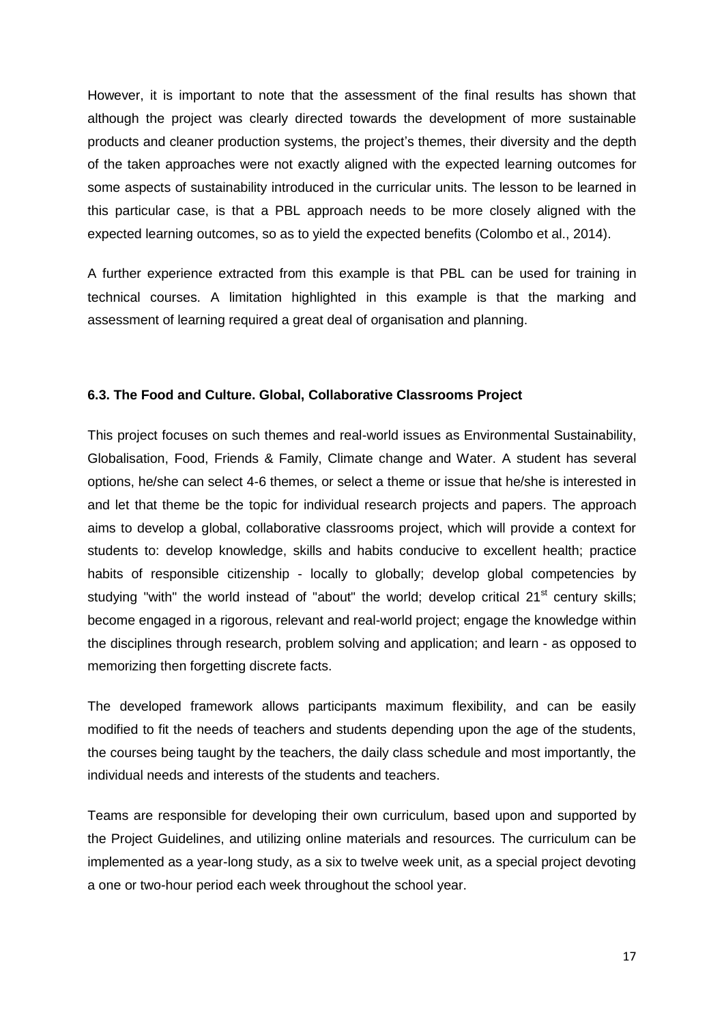However, it is important to note that the assessment of the final results has shown that although the project was clearly directed towards the development of more sustainable products and cleaner production systems, the project's themes, their diversity and the depth of the taken approaches were not exactly aligned with the expected learning outcomes for some aspects of sustainability introduced in the curricular units. The lesson to be learned in this particular case, is that a PBL approach needs to be more closely aligned with the expected learning outcomes, so as to yield the expected benefits (Colombo et al., 2014).

A further experience extracted from this example is that PBL can be used for training in technical courses. A limitation highlighted in this example is that the marking and assessment of learning required a great deal of organisation and planning.

#### **6.3. The Food and Culture. Global, Collaborative Classrooms Project**

This project focuses on such themes and real-world issues as Environmental Sustainability, Globalisation, Food, Friends & Family, Climate change and Water. A student has several options, he/she can select 4-6 themes, or select a theme or issue that he/she is interested in and let that theme be the topic for individual research projects and papers. The approach aims to develop a global, collaborative classrooms project, which will provide a context for students to: develop knowledge, skills and habits conducive to excellent health; practice habits of responsible citizenship - locally to globally; develop global competencies by studying "with" the world instead of "about" the world; develop critical  $21<sup>st</sup>$  century skills; become engaged in a rigorous, relevant and real-world project; engage the knowledge within the disciplines through research, problem solving and application; and learn - as opposed to memorizing then forgetting discrete facts.

The developed framework allows participants maximum flexibility, and can be easily modified to fit the needs of teachers and students depending upon the age of the students, the courses being taught by the teachers, the daily class schedule and most importantly, the individual needs and interests of the students and teachers.

Teams are responsible for developing their own curriculum, based upon and supported by the Project Guidelines, and utilizing online materials and resources. The curriculum can be implemented as a year-long study, as a six to twelve week unit, as a special project devoting a one or two-hour period each week throughout the school year.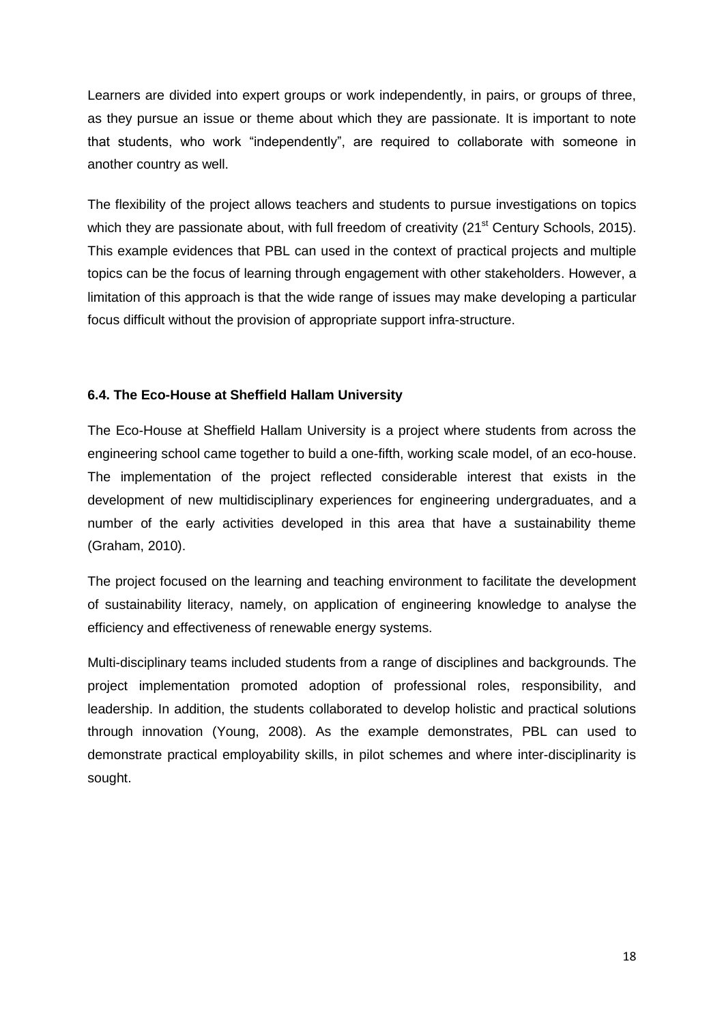Learners are divided into expert groups or work independently, in pairs, or groups of three, as they pursue an issue or theme about which they are passionate. It is important to note that students, who work "independently", are required to collaborate with someone in another country as well.

The flexibility of the project allows teachers and students to pursue investigations on topics which they are passionate about, with full freedom of creativity (21<sup>st</sup> Century Schools, 2015). This example evidences that PBL can used in the context of practical projects and multiple topics can be the focus of learning through engagement with other stakeholders. However, a limitation of this approach is that the wide range of issues may make developing a particular focus difficult without the provision of appropriate support infra-structure.

### **6.4. The Eco-House at Sheffield Hallam University**

The Eco-House at Sheffield Hallam University is a project where students from across the engineering school came together to build a one-fifth, working scale model, of an eco-house. The implementation of the project reflected considerable interest that exists in the development of new multidisciplinary experiences for engineering undergraduates, and a number of the early activities developed in this area that have a sustainability theme (Graham, 2010).

The project focused on the learning and teaching environment to facilitate the development of sustainability literacy, namely, on application of engineering knowledge to analyse the efficiency and effectiveness of renewable energy systems.

Multi-disciplinary teams included students from a range of disciplines and backgrounds. The project implementation promoted adoption of professional roles, responsibility, and leadership. In addition, the students collaborated to develop holistic and practical solutions through innovation (Young, 2008). As the example demonstrates, PBL can used to demonstrate practical employability skills, in pilot schemes and where inter-disciplinarity is sought.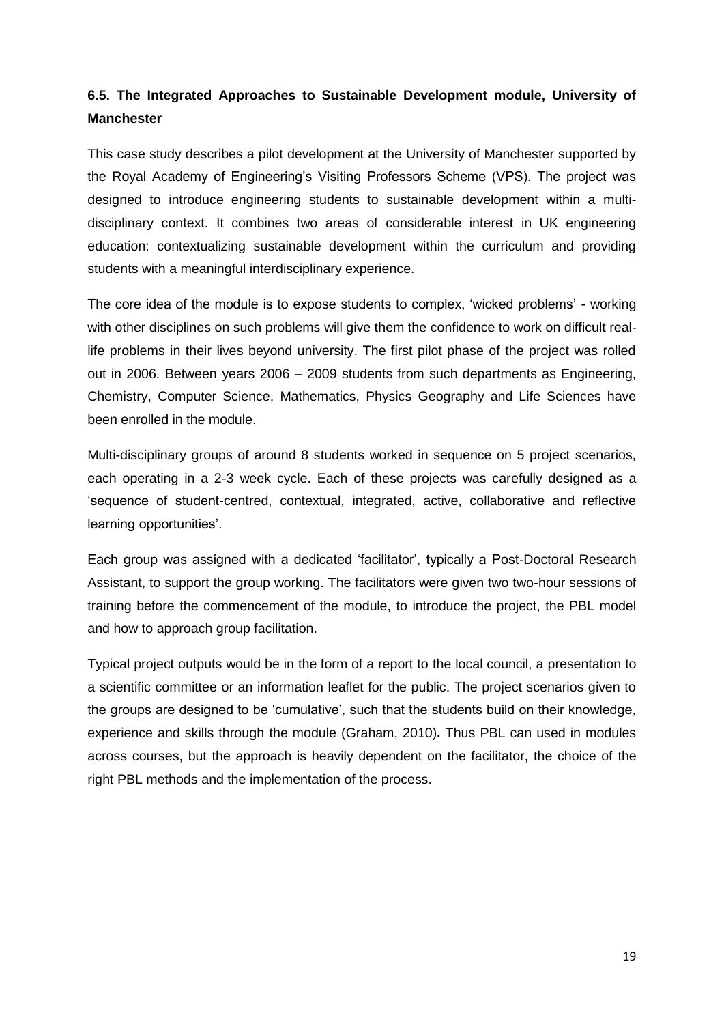## **6.5. The Integrated Approaches to Sustainable Development module, University of Manchester**

This case study describes a pilot development at the University of Manchester supported by the Royal Academy of Engineering's Visiting Professors Scheme (VPS). The project was designed to introduce engineering students to sustainable development within a multidisciplinary context. It combines two areas of considerable interest in UK engineering education: contextualizing sustainable development within the curriculum and providing students with a meaningful interdisciplinary experience.

The core idea of the module is to expose students to complex, 'wicked problems' - working with other disciplines on such problems will give them the confidence to work on difficult reallife problems in their lives beyond university. The first pilot phase of the project was rolled out in 2006. Between years 2006 – 2009 students from such departments as Engineering, Chemistry, Computer Science, Mathematics, Physics Geography and Life Sciences have been enrolled in the module.

Multi-disciplinary groups of around 8 students worked in sequence on 5 project scenarios, each operating in a 2-3 week cycle. Each of these projects was carefully designed as a 'sequence of student-centred, contextual, integrated, active, collaborative and reflective learning opportunities'.

Each group was assigned with a dedicated 'facilitator', typically a Post-Doctoral Research Assistant, to support the group working. The facilitators were given two two-hour sessions of training before the commencement of the module, to introduce the project, the PBL model and how to approach group facilitation.

Typical project outputs would be in the form of a report to the local council, a presentation to a scientific committee or an information leaflet for the public. The project scenarios given to the groups are designed to be 'cumulative', such that the students build on their knowledge, experience and skills through the module (Graham, 2010)**.** Thus PBL can used in modules across courses, but the approach is heavily dependent on the facilitator, the choice of the right PBL methods and the implementation of the process.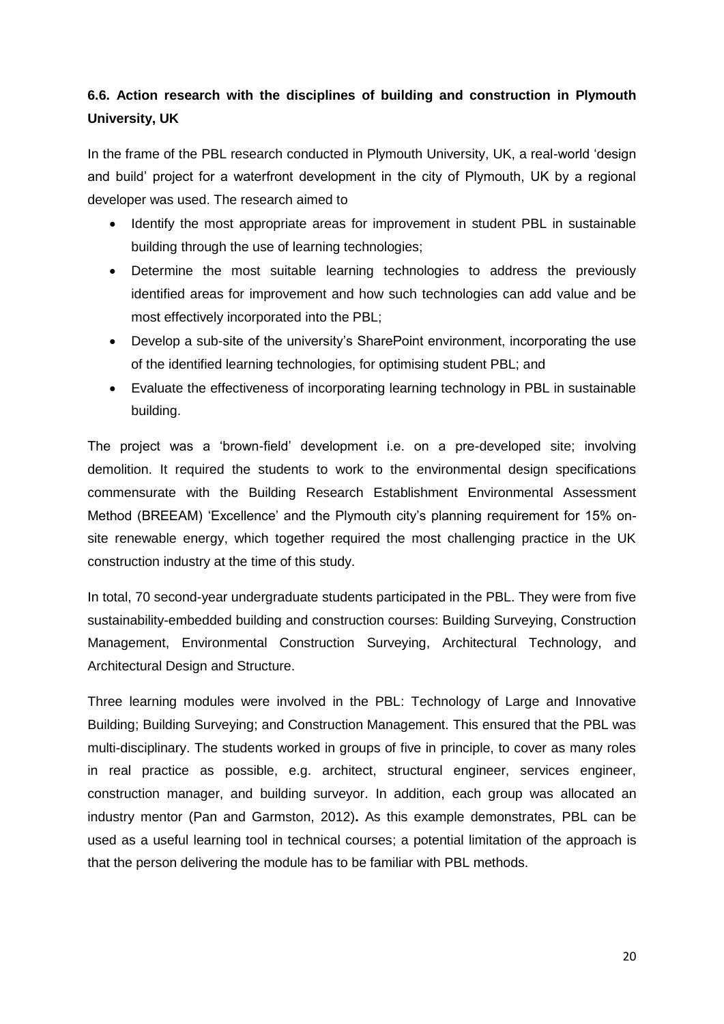# **6.6. Action research with the disciplines of building and construction in Plymouth University, UK**

In the frame of the PBL research conducted in Plymouth University, UK, a real-world 'design and build' project for a waterfront development in the city of Plymouth, UK by a regional developer was used. The research aimed to

- Identify the most appropriate areas for improvement in student PBL in sustainable building through the use of learning technologies;
- Determine the most suitable learning technologies to address the previously identified areas for improvement and how such technologies can add value and be most effectively incorporated into the PBL;
- Develop a sub-site of the university's SharePoint environment, incorporating the use of the identified learning technologies, for optimising student PBL; and
- Evaluate the effectiveness of incorporating learning technology in PBL in sustainable building.

The project was a 'brown-field' development i.e. on a pre-developed site; involving demolition. It required the students to work to the environmental design specifications commensurate with the Building Research Establishment Environmental Assessment Method (BREEAM) 'Excellence' and the Plymouth city's planning requirement for 15% onsite renewable energy, which together required the most challenging practice in the UK construction industry at the time of this study.

In total, 70 second-year undergraduate students participated in the PBL. They were from five sustainability-embedded building and construction courses: Building Surveying, Construction Management, Environmental Construction Surveying, Architectural Technology, and Architectural Design and Structure.

Three learning modules were involved in the PBL: Technology of Large and Innovative Building; Building Surveying; and Construction Management. This ensured that the PBL was multi-disciplinary. The students worked in groups of five in principle, to cover as many roles in real practice as possible, e.g. architect, structural engineer, services engineer, construction manager, and building surveyor. In addition, each group was allocated an industry mentor (Pan and Garmston, 2012)**.** As this example demonstrates, PBL can be used as a useful learning tool in technical courses; a potential limitation of the approach is that the person delivering the module has to be familiar with PBL methods.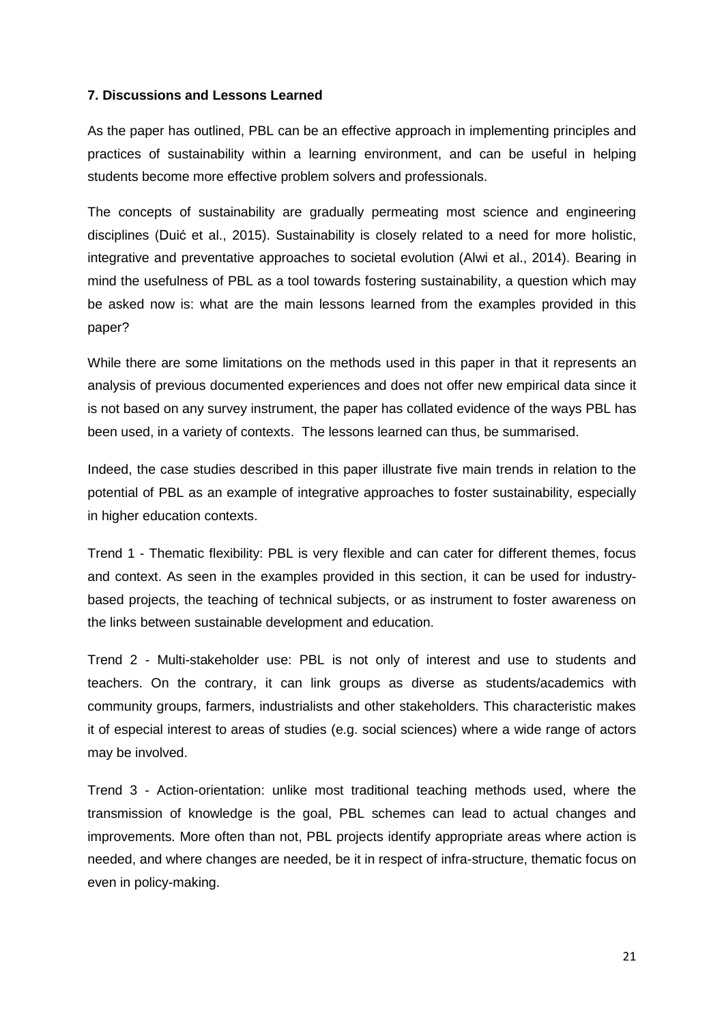#### **7. Discussions and Lessons Learned**

As the paper has outlined, PBL can be an effective approach in implementing principles and practices of sustainability within a learning environment, and can be useful in helping students become more effective problem solvers and professionals.

The concepts of sustainability are gradually permeating most science and engineering disciplines (Duić et al., 2015). Sustainability is closely related to a need for more holistic, integrative and preventative approaches to societal evolution (Alwi et al., 2014). Bearing in mind the usefulness of PBL as a tool towards fostering sustainability, a question which may be asked now is: what are the main lessons learned from the examples provided in this paper?

While there are some limitations on the methods used in this paper in that it represents an analysis of previous documented experiences and does not offer new empirical data since it is not based on any survey instrument, the paper has collated evidence of the ways PBL has been used, in a variety of contexts. The lessons learned can thus, be summarised.

Indeed, the case studies described in this paper illustrate five main trends in relation to the potential of PBL as an example of integrative approaches to foster sustainability, especially in higher education contexts.

Trend 1 - Thematic flexibility: PBL is very flexible and can cater for different themes, focus and context. As seen in the examples provided in this section, it can be used for industrybased projects, the teaching of technical subjects, or as instrument to foster awareness on the links between sustainable development and education.

Trend 2 - Multi-stakeholder use: PBL is not only of interest and use to students and teachers. On the contrary, it can link groups as diverse as students/academics with community groups, farmers, industrialists and other stakeholders. This characteristic makes it of especial interest to areas of studies (e.g. social sciences) where a wide range of actors may be involved.

Trend 3 - Action-orientation: unlike most traditional teaching methods used, where the transmission of knowledge is the goal, PBL schemes can lead to actual changes and improvements. More often than not, PBL projects identify appropriate areas where action is needed, and where changes are needed, be it in respect of infra-structure, thematic focus on even in policy-making.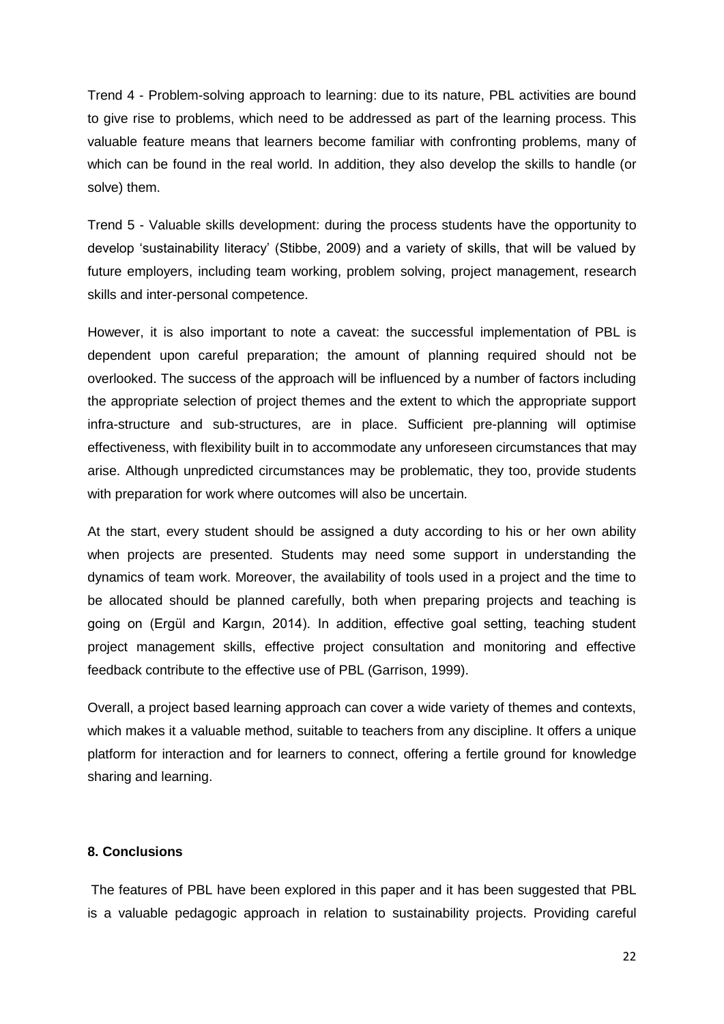Trend 4 - Problem-solving approach to learning: due to its nature, PBL activities are bound to give rise to problems, which need to be addressed as part of the learning process. This valuable feature means that learners become familiar with confronting problems, many of which can be found in the real world. In addition, they also develop the skills to handle (or solve) them.

Trend 5 - Valuable skills development: during the process students have the opportunity to develop 'sustainability literacy' (Stibbe, 2009) and a variety of skills, that will be valued by future employers, including team working, problem solving, project management, research skills and inter-personal competence.

However, it is also important to note a caveat: the successful implementation of PBL is dependent upon careful preparation; the amount of planning required should not be overlooked. The success of the approach will be influenced by a number of factors including the appropriate selection of project themes and the extent to which the appropriate support infra-structure and sub-structures, are in place. Sufficient pre-planning will optimise effectiveness, with flexibility built in to accommodate any unforeseen circumstances that may arise. Although unpredicted circumstances may be problematic, they too, provide students with preparation for work where outcomes will also be uncertain.

At the start, every student should be assigned a duty according to his or her own ability when projects are presented. Students may need some support in understanding the dynamics of team work. Moreover, the availability of tools used in a project and the time to be allocated should be planned carefully, both when preparing projects and teaching is going on (Ergül and Kargın, 2014). In addition, effective goal setting, teaching student project management skills, effective project consultation and monitoring and effective feedback contribute to the effective use of PBL (Garrison, 1999).

Overall, a project based learning approach can cover a wide variety of themes and contexts, which makes it a valuable method, suitable to teachers from any discipline. It offers a unique platform for interaction and for learners to connect, offering a fertile ground for knowledge sharing and learning.

### **8. Conclusions**

The features of PBL have been explored in this paper and it has been suggested that PBL is a valuable pedagogic approach in relation to sustainability projects. Providing careful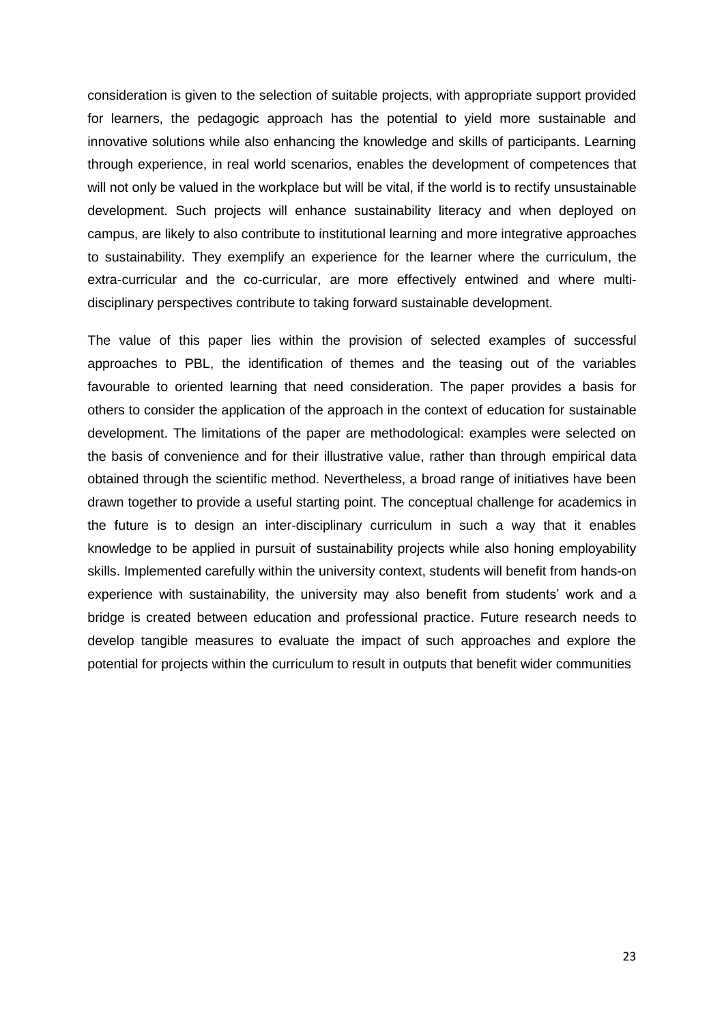consideration is given to the selection of suitable projects, with appropriate support provided for learners, the pedagogic approach has the potential to yield more sustainable and innovative solutions while also enhancing the knowledge and skills of participants. Learning through experience, in real world scenarios, enables the development of competences that will not only be valued in the workplace but will be vital, if the world is to rectify unsustainable development. Such projects will enhance sustainability literacy and when deployed on campus, are likely to also contribute to institutional learning and more integrative approaches to sustainability. They exemplify an experience for the learner where the curriculum, the extra-curricular and the co-curricular, are more effectively entwined and where multidisciplinary perspectives contribute to taking forward sustainable development.

The value of this paper lies within the provision of selected examples of successful approaches to PBL, the identification of themes and the teasing out of the variables favourable to oriented learning that need consideration. The paper provides a basis for others to consider the application of the approach in the context of education for sustainable development. The limitations of the paper are methodological: examples were selected on the basis of convenience and for their illustrative value, rather than through empirical data obtained through the scientific method. Nevertheless, a broad range of initiatives have been drawn together to provide a useful starting point. The conceptual challenge for academics in the future is to design an inter-disciplinary curriculum in such a way that it enables knowledge to be applied in pursuit of sustainability projects while also honing employability skills. Implemented carefully within the university context, students will benefit from hands-on experience with sustainability, the university may also benefit from students' work and a bridge is created between education and professional practice. Future research needs to develop tangible measures to evaluate the impact of such approaches and explore the potential for projects within the curriculum to result in outputs that benefit wider communities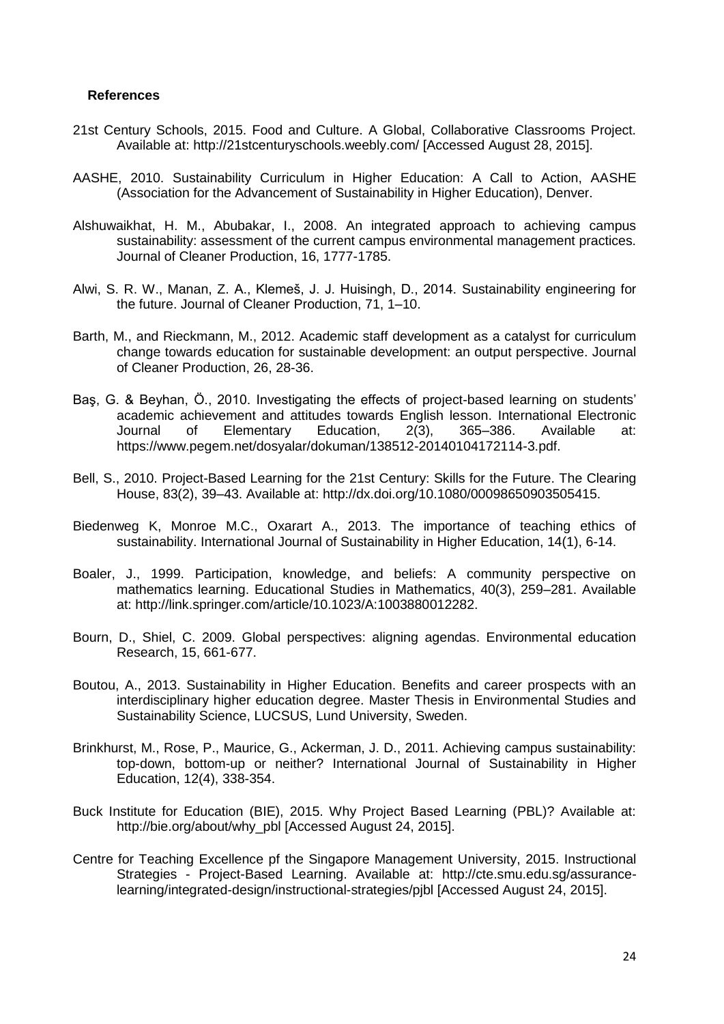#### **References**

- 21st Century Schools, 2015. Food and Culture. A Global, Collaborative Classrooms Project. Available at: http://21stcenturyschools.weebly.com/ [Accessed August 28, 2015].
- AASHE, 2010. Sustainability Curriculum in Higher Education: A Call to Action, AASHE (Association for the Advancement of Sustainability in Higher Education), Denver.
- Alshuwaikhat, H. M., Abubakar, I., 2008. An integrated approach to achieving campus sustainability: assessment of the current campus environmental management practices. Journal of Cleaner Production, 16, 1777-1785.
- Alwi, S. R. W., Manan, Z. A., Klemeš, J. J. Huisingh, D., 2014. Sustainability engineering for the future. Journal of Cleaner Production, 71, 1–10.
- Barth, M., and Rieckmann, M., 2012. Academic staff development as a catalyst for curriculum change towards education for sustainable development: an output perspective. Journal of Cleaner Production, 26, 28-36.
- Baş, G. & Beyhan, Ö., 2010. Investigating the effects of project-based learning on students' academic achievement and attitudes towards English lesson. International Electronic Journal of Elementary Education, 2(3), 365–386. Available at: https://www.pegem.net/dosyalar/dokuman/138512-20140104172114-3.pdf.
- Bell, S., 2010. Project-Based Learning for the 21st Century: Skills for the Future. The Clearing House, 83(2), 39–43. Available at: http://dx.doi.org/10.1080/00098650903505415.
- Biedenweg K, Monroe M.C., Oxarart A., 2013. The importance of teaching ethics of sustainability. International Journal of Sustainability in Higher Education, 14(1), 6-14.
- Boaler, J., 1999. Participation, knowledge, and beliefs: A community perspective on mathematics learning. Educational Studies in Mathematics, 40(3), 259–281. Available at: http://link.springer.com/article/10.1023/A:1003880012282.
- Bourn, D., Shiel, C. 2009. Global perspectives: aligning agendas. Environmental education Research, 15, 661-677.
- Boutou, A., 2013. Sustainability in Higher Education. Benefits and career prospects with an interdisciplinary higher education degree. Master Thesis in Environmental Studies and Sustainability Science, LUCSUS, Lund University, Sweden.
- Brinkhurst, M., Rose, P., Maurice, G., Ackerman, J. D., 2011. Achieving campus sustainability: top-down, bottom-up or neither? International Journal of Sustainability in Higher Education, 12(4), 338-354.
- Buck Institute for Education (BIE), 2015. Why Project Based Learning (PBL)? Available at: http://bie.org/about/why\_pbl [Accessed August 24, 2015].
- Centre for Teaching Excellence pf the Singapore Management University, 2015. Instructional Strategies - Project-Based Learning. Available at: http://cte.smu.edu.sg/assurancelearning/integrated-design/instructional-strategies/pjbl [Accessed August 24, 2015].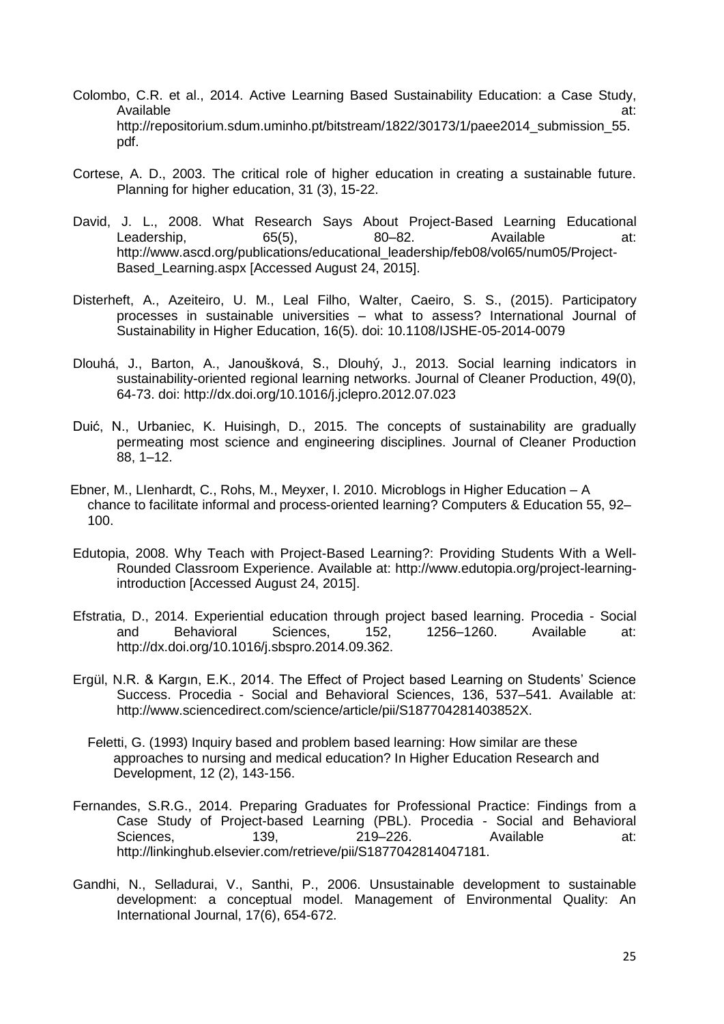- Colombo, C.R. et al., 2014. Active Learning Based Sustainability Education: a Case Study, Available at: http://repositorium.sdum.uminho.pt/bitstream/1822/30173/1/paee2014\_submission\_55. pdf.
- Cortese, A. D., 2003. The critical role of higher education in creating a sustainable future. Planning for higher education, 31 (3), 15-22.
- David, J. L., 2008. What Research Says About Project-Based Learning Educational Leadership, 65(5), 80–82. Available at: http://www.ascd.org/publications/educational\_leadership/feb08/vol65/num05/Project-Based\_Learning.aspx [Accessed August 24, 2015].
- Disterheft, A., Azeiteiro, U. M., Leal Filho, Walter, Caeiro, S. S., (2015). Participatory processes in sustainable universities – what to assess? International Journal of Sustainability in Higher Education, 16(5). doi: 10.1108/IJSHE-05-2014-0079
- Dlouhá, J., Barton, A., Janoušková, S., Dlouhý, J., 2013. Social learning indicators in sustainability-oriented regional learning networks. Journal of Cleaner Production, 49(0), 64-73. doi: http://dx.doi.org/10.1016/j.jclepro.2012.07.023
- Duić, N., Urbaniec, K. Huisingh, D., 2015. The concepts of sustainability are gradually permeating most science and engineering disciplines. Journal of Cleaner Production 88, 1–12.
- Ebner, M., LIenhardt, C., Rohs, M., Meyxer, I. 2010. Microblogs in Higher Education A chance to facilitate informal and process-oriented learning? Computers & Education 55, 92– 100.
- Edutopia, 2008. Why Teach with Project-Based Learning?: Providing Students With a Well-Rounded Classroom Experience. Available at: http://www.edutopia.org/project-learningintroduction [Accessed August 24, 2015].
- Efstratia, D., 2014. Experiential education through project based learning. Procedia Social and Behavioral Sciences, 152, 1256–1260. Available at: http://dx.doi.org/10.1016/j.sbspro.2014.09.362.
- Ergül, N.R. & Kargın, E.K., 2014. The Effect of Project based Learning on Students' Science Success. Procedia - Social and Behavioral Sciences, 136, 537–541. Available at: http://www.sciencedirect.com/science/article/pii/S187704281403852X.
	- Feletti, G. (1993) Inquiry based and problem based learning: How similar are these approaches to nursing and medical education? In Higher Education Research and Development, 12 (2), 143-156.
- Fernandes, S.R.G., 2014. Preparing Graduates for Professional Practice: Findings from a Case Study of Project-based Learning (PBL). Procedia - Social and Behavioral Sciences, 139, 219–226. Available at: http://linkinghub.elsevier.com/retrieve/pii/S1877042814047181.
- Gandhi, N., Selladurai, V., Santhi, P., 2006. Unsustainable development to sustainable development: a conceptual model. Management of Environmental Quality: An International Journal, 17(6), 654-672.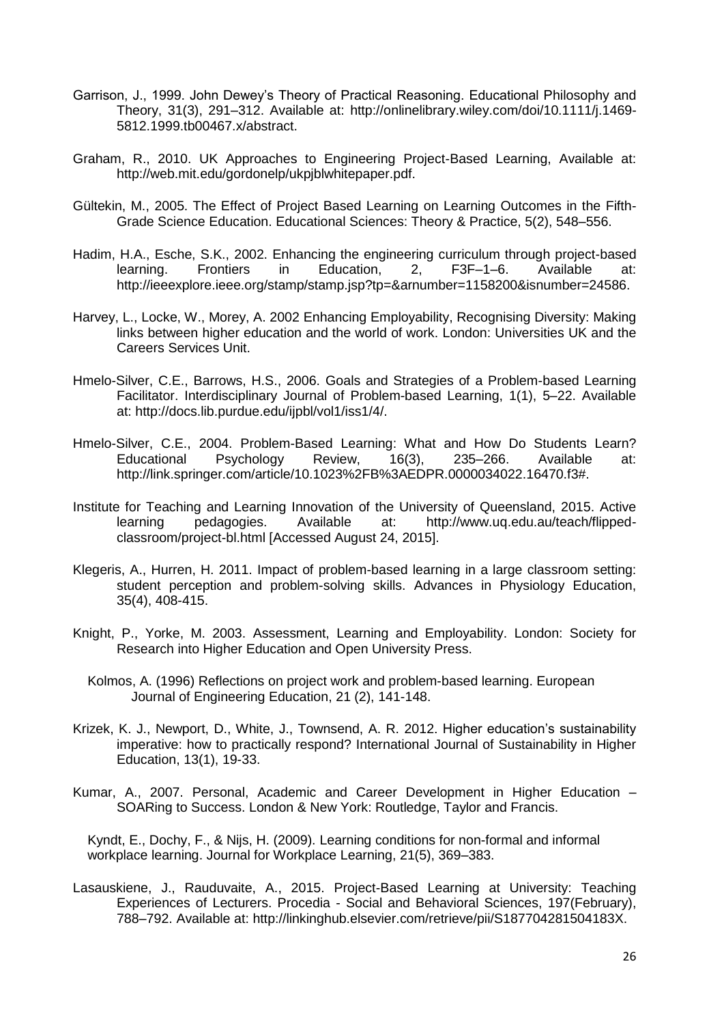- Garrison, J., 1999. John Dewey's Theory of Practical Reasoning. Educational Philosophy and Theory, 31(3), 291–312. Available at: http://onlinelibrary.wiley.com/doi/10.1111/j.1469- 5812.1999.tb00467.x/abstract.
- Graham, R., 2010. UK Approaches to Engineering Project-Based Learning, Available at: http://web.mit.edu/gordonelp/ukpjblwhitepaper.pdf.
- Gültekin, M., 2005. The Effect of Project Based Learning on Learning Outcomes in the Fifth-Grade Science Education. Educational Sciences: Theory & Practice, 5(2), 548–556.
- Hadim, H.A., Esche, S.K., 2002. Enhancing the engineering curriculum through project-based learning. Frontiers in Education, 2, F3F–1–6. Available at: http://ieeexplore.ieee.org/stamp/stamp.jsp?tp=&arnumber=1158200&isnumber=24586.
- Harvey, L., Locke, W., Morey, A. 2002 Enhancing Employability, Recognising Diversity: Making links between higher education and the world of work. London: Universities UK and the Careers Services Unit.
- Hmelo-Silver, C.E., Barrows, H.S., 2006. Goals and Strategies of a Problem-based Learning Facilitator. Interdisciplinary Journal of Problem-based Learning, 1(1), 5–22. Available at: http://docs.lib.purdue.edu/ijpbl/vol1/iss1/4/.
- Hmelo-Silver, C.E., 2004. Problem-Based Learning: What and How Do Students Learn? Educational Psychology Review, 16(3), 235–266. Available at: http://link.springer.com/article/10.1023%2FB%3AEDPR.0000034022.16470.f3#.
- Institute for Teaching and Learning Innovation of the University of Queensland, 2015. Active learning pedagogies. Available at: http://www.uq.edu.au/teach/flippedclassroom/project-bl.html [Accessed August 24, 2015].
- Klegeris, A., Hurren, H. 2011. Impact of problem-based learning in a large classroom setting: student perception and problem-solving skills. Advances in Physiology Education, 35(4), 408-415.
- Knight, P., Yorke, M. 2003. Assessment, Learning and Employability. London: Society for Research into Higher Education and Open University Press.
	- Kolmos, A. (1996) Reflections on project work and problem-based learning. European Journal of Engineering Education, 21 (2), 141-148.
- Krizek, K. J., Newport, D., White, J., Townsend, A. R. 2012. Higher education's sustainability imperative: how to practically respond? International Journal of Sustainability in Higher Education, 13(1), 19-33.
- Kumar, A., 2007. Personal, Academic and Career Development in Higher Education SOARing to Success. London & New York: Routledge, Taylor and Francis.

Kyndt, E., Dochy, F., & Nijs, H. (2009). Learning conditions for non-formal and informal workplace learning. Journal for Workplace Learning, 21(5), 369–383.

Lasauskiene, J., Rauduvaite, A., 2015. Project-Based Learning at University: Teaching Experiences of Lecturers. Procedia - Social and Behavioral Sciences, 197(February), 788–792. Available at: http://linkinghub.elsevier.com/retrieve/pii/S187704281504183X.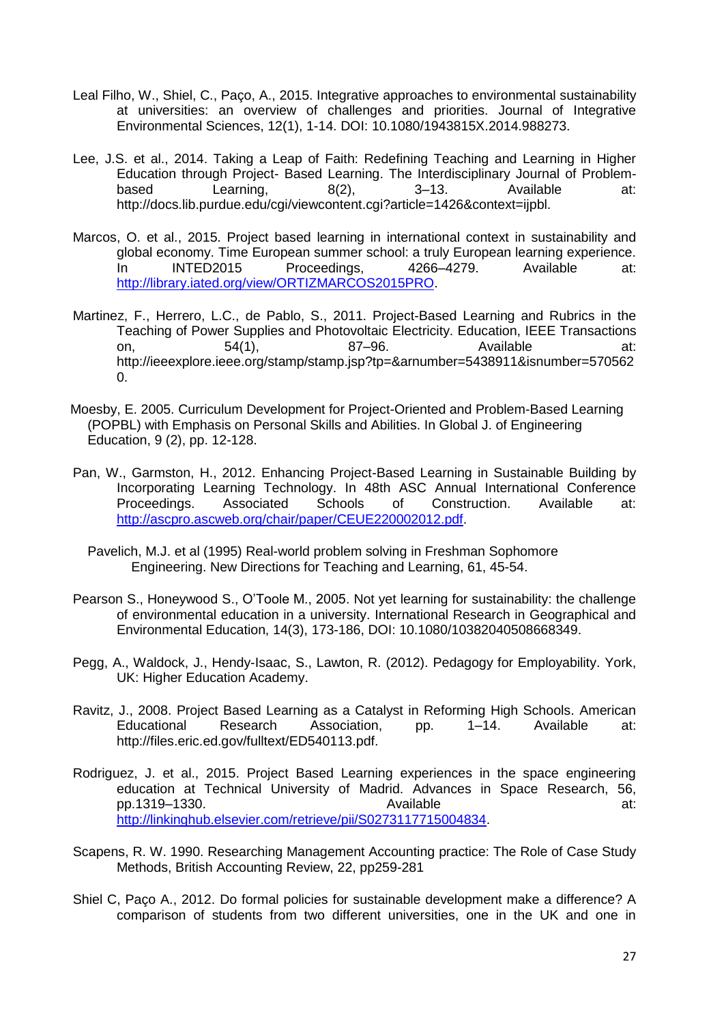- Leal Filho, W., Shiel, C., Paço, A., 2015. Integrative approaches to environmental sustainability at universities: an overview of challenges and priorities. Journal of Integrative Environmental Sciences, 12(1), 1-14. DOI: 10.1080/1943815X.2014.988273.
- Lee, J.S. et al., 2014. Taking a Leap of Faith: Redefining Teaching and Learning in Higher Education through Project- Based Learning. The Interdisciplinary Journal of Problembased Learning, 8(2), 3–13. Available at: http://docs.lib.purdue.edu/cgi/viewcontent.cgi?article=1426&context=ijpbl.
- Marcos, O. et al., 2015. Project based learning in international context in sustainability and global economy. Time European summer school: a truly European learning experience. In INTED2015 Proceedings, 4266–4279. Available at: [http://library.iated.org/view/ORTIZMARCOS2015PRO.](http://library.iated.org/view/ORTIZMARCOS2015PRO)
- Martinez, F., Herrero, L.C., de Pablo, S., 2011. Project-Based Learning and Rubrics in the Teaching of Power Supplies and Photovoltaic Electricity. Education, IEEE Transactions on, 54(1), 87–96. Available at: http://ieeexplore.ieee.org/stamp/stamp.jsp?tp=&arnumber=5438911&isnumber=570562 0.
- Moesby, E. 2005. Curriculum Development for Project-Oriented and Problem-Based Learning (POPBL) with Emphasis on Personal Skills and Abilities. In Global J. of Engineering Education, 9 (2), pp. 12-128.
- Pan, W., Garmston, H., 2012. Enhancing Project-Based Learning in Sustainable Building by Incorporating Learning Technology. In 48th ASC Annual International Conference Proceedings. Associated Schools of Construction. Available at: [http://ascpro.ascweb.org/chair/paper/CEUE220002012.pdf.](http://ascpro.ascweb.org/chair/paper/CEUE220002012.pdf)
	- Pavelich, M.J. et al (1995) Real-world problem solving in Freshman Sophomore Engineering. New Directions for Teaching and Learning, 61, 45-54.
- Pearson S., Honeywood S., O'Toole M., 2005. Not yet learning for sustainability: the challenge of environmental education in a university. International Research in Geographical and Environmental Education, 14(3), 173-186, DOI: 10.1080/10382040508668349.
- Pegg, A., Waldock, J., Hendy-Isaac, S., Lawton, R. (2012). Pedagogy for Employability. York, UK: Higher Education Academy.
- Ravitz, J., 2008. Project Based Learning as a Catalyst in Reforming High Schools. American Educational Research Association, pp. 1–14. Available at: http://files.eric.ed.gov/fulltext/ED540113.pdf.
- Rodriguez, J. et al., 2015. Project Based Learning experiences in the space engineering education at Technical University of Madrid. Advances in Space Research, 56, pp.1319–1330. Available at: [http://linkinghub.elsevier.com/retrieve/pii/S0273117715004834.](http://linkinghub.elsevier.com/retrieve/pii/S0273117715004834)
- Scapens, R. W. 1990. Researching Management Accounting practice: The Role of Case Study Methods, British Accounting Review, 22, pp259-281
- Shiel C, Paço A., 2012. Do formal policies for sustainable development make a difference? A comparison of students from two different universities, one in the UK and one in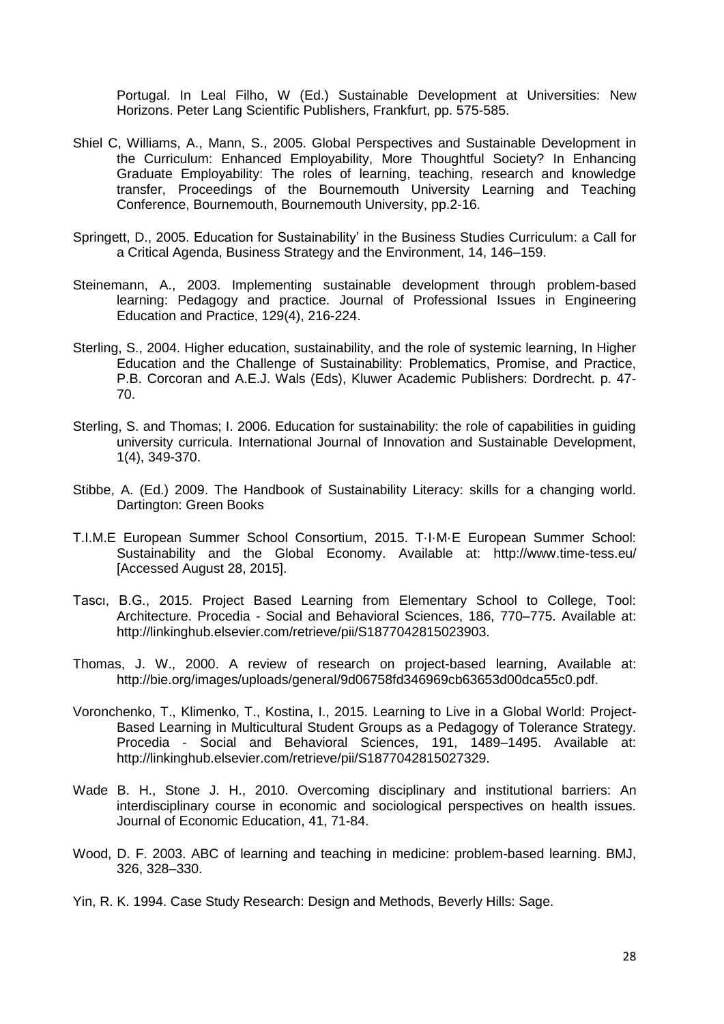Portugal. In Leal Filho, W (Ed.) Sustainable Development at Universities: New Horizons. Peter Lang Scientific Publishers, Frankfurt, pp. 575-585.

- Shiel C, Williams, A., Mann, S., 2005. Global Perspectives and Sustainable Development in the Curriculum: Enhanced Employability, More Thoughtful Society? In Enhancing Graduate Employability: The roles of learning, teaching, research and knowledge transfer, Proceedings of the Bournemouth University Learning and Teaching Conference, Bournemouth, Bournemouth University, pp.2-16.
- Springett, D., 2005. Education for Sustainability' in the Business Studies Curriculum: a Call for a Critical Agenda, Business Strategy and the Environment, 14, 146–159.
- Steinemann, A., 2003. Implementing sustainable development through problem-based learning: Pedagogy and practice. Journal of Professional Issues in Engineering Education and Practice, 129(4), 216-224.
- Sterling, S., 2004. Higher education, sustainability, and the role of systemic learning, In Higher Education and the Challenge of Sustainability: Problematics, Promise, and Practice, P.B. Corcoran and A.E.J. Wals (Eds), Kluwer Academic Publishers: Dordrecht. p. 47- 70.
- Sterling, S. and Thomas; I. 2006. Education for sustainability: the role of capabilities in guiding university curricula. International Journal of Innovation and Sustainable Development, 1(4), 349-370.
- Stibbe, A. (Ed.) 2009. The Handbook of Sustainability Literacy: skills for a changing world. Dartington: Green Books
- T.I.M.E European Summer School Consortium, 2015. T·I·M·E European Summer School: Sustainability and the Global Economy. Available at: http://www.time-tess.eu/ [Accessed August 28, 2015].
- Tascı, B.G., 2015. Project Based Learning from Elementary School to College, Tool: Architecture. Procedia - Social and Behavioral Sciences, 186, 770–775. Available at: http://linkinghub.elsevier.com/retrieve/pii/S1877042815023903.
- Thomas, J. W., 2000. A review of research on project-based learning, Available at: http://bie.org/images/uploads/general/9d06758fd346969cb63653d00dca55c0.pdf.
- Voronchenko, T., Klimenko, T., Kostina, I., 2015. Learning to Live in a Global World: Project-Based Learning in Multicultural Student Groups as a Pedagogy of Tolerance Strategy. Procedia - Social and Behavioral Sciences, 191, 1489–1495. Available at: http://linkinghub.elsevier.com/retrieve/pii/S1877042815027329.
- Wade B. H., Stone J. H., 2010. Overcoming disciplinary and institutional barriers: An interdisciplinary course in economic and sociological perspectives on health issues. Journal of Economic Education, 41, 71-84.
- Wood, D. F. 2003. ABC of learning and teaching in medicine: problem-based learning. BMJ, 326, 328–330.
- Yin, R. K. 1994. Case Study Research: Design and Methods, Beverly Hills: Sage.